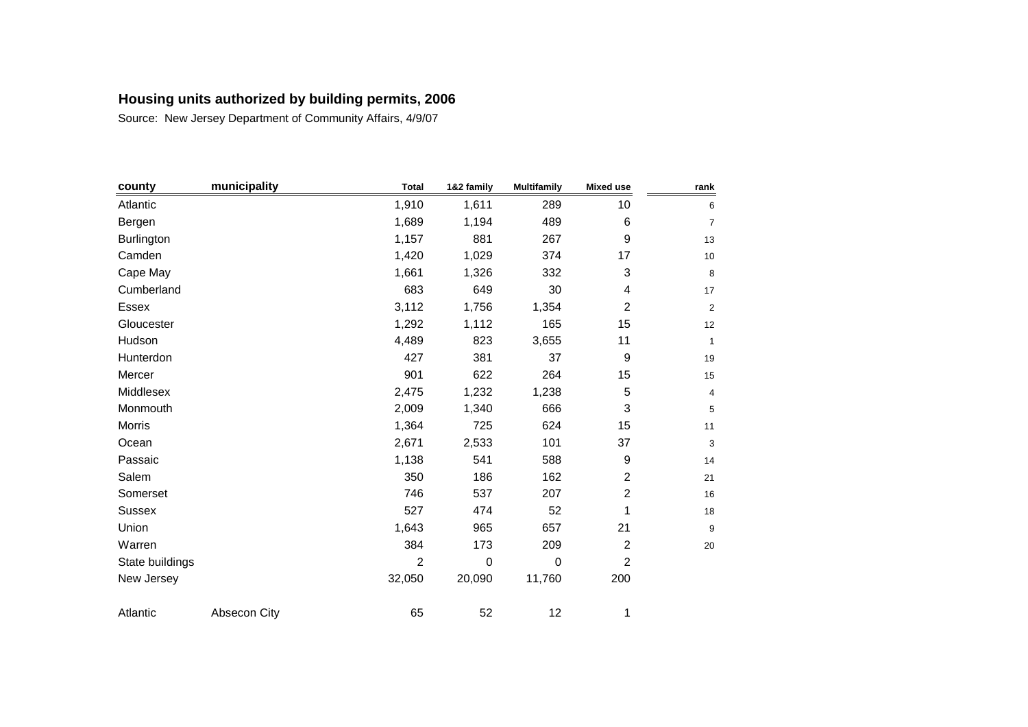| county          | municipality | <b>Total</b>   | 1&2 family  | <b>Multifamily</b> | <b>Mixed use</b>          | rank           |
|-----------------|--------------|----------------|-------------|--------------------|---------------------------|----------------|
| Atlantic        |              | 1,910          | 1,611       | 289                | 10                        | 6              |
| Bergen          |              | 1,689          | 1,194       | 489                | 6                         | $\overline{7}$ |
| Burlington      |              | 1,157          | 881         | 267                | 9                         | 13             |
| Camden          |              | 1,420          | 1,029       | 374                | 17                        | 10             |
| Cape May        |              | 1,661          | 1,326       | 332                | $\ensuremath{\mathsf{3}}$ | 8              |
| Cumberland      |              | 683            | 649         | 30                 | 4                         | 17             |
| Essex           |              | 3,112          | 1,756       | 1,354              | $\overline{c}$            | $\overline{c}$ |
| Gloucester      |              | 1,292          | 1,112       | 165                | 15                        | 12             |
| Hudson          |              | 4,489          | 823         | 3,655              | 11                        | 1              |
| Hunterdon       |              | 427            | 381         | 37                 | 9                         | 19             |
| Mercer          |              | 901            | 622         | 264                | 15                        | 15             |
| Middlesex       |              | 2,475          | 1,232       | 1,238              | 5                         | 4              |
| Monmouth        |              | 2,009          | 1,340       | 666                | 3                         | 5              |
| Morris          |              | 1,364          | 725         | 624                | 15                        | 11             |
| Ocean           |              | 2,671          | 2,533       | 101                | 37                        | 3              |
| Passaic         |              | 1,138          | 541         | 588                | 9                         | 14             |
| Salem           |              | 350            | 186         | 162                | $\overline{c}$            | 21             |
| Somerset        |              | 746            | 537         | 207                | $\boldsymbol{2}$          | 16             |
| <b>Sussex</b>   |              | 527            | 474         | 52                 | 1                         | 18             |
| Union           |              | 1,643          | 965         | 657                | 21                        | 9              |
| Warren          |              | 384            | 173         | 209                | $\sqrt{2}$                | 20             |
| State buildings |              | $\overline{c}$ | $\mathbf 0$ | $\mathbf 0$        | $\overline{c}$            |                |
| New Jersey      |              | 32,050         | 20,090      | 11,760             | 200                       |                |
| Atlantic        | Absecon City | 65             | 52          | 12                 | 1                         |                |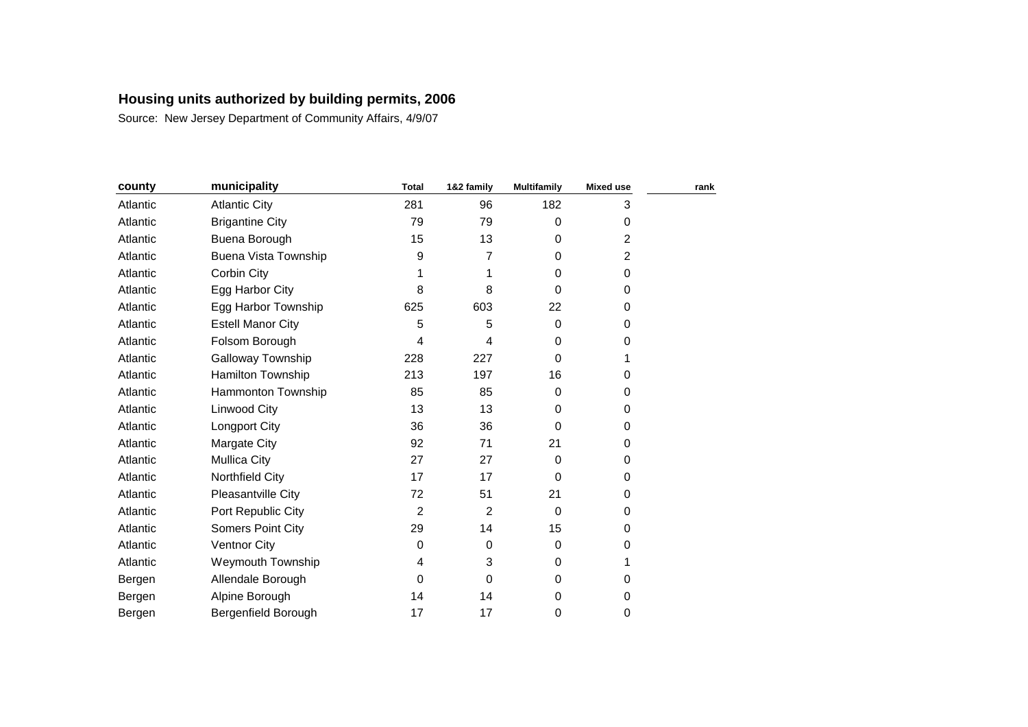| county   | municipality                | <b>Total</b>   | 1&2 family     | <b>Multifamily</b> | <b>Mixed use</b> | rank |
|----------|-----------------------------|----------------|----------------|--------------------|------------------|------|
| Atlantic | <b>Atlantic City</b>        | 281            | 96             | 182                | 3                |      |
| Atlantic | <b>Brigantine City</b>      | 79             | 79             | $\Omega$           | 0                |      |
| Atlantic | Buena Borough               | 15             | 13             | $\Omega$           | 2                |      |
| Atlantic | <b>Buena Vista Township</b> | 9              | 7              | $\Omega$           | 2                |      |
| Atlantic | Corbin City                 |                |                | $\Omega$           | 0                |      |
| Atlantic | Egg Harbor City             | 8              | 8              | $\Omega$           | 0                |      |
| Atlantic | Egg Harbor Township         | 625            | 603            | 22                 | 0                |      |
| Atlantic | <b>Estell Manor City</b>    | 5              | 5              | 0                  | 0                |      |
| Atlantic | Folsom Borough              | 4              | 4              | 0                  | 0                |      |
| Atlantic | Galloway Township           | 228            | 227            | $\Omega$           |                  |      |
| Atlantic | Hamilton Township           | 213            | 197            | 16                 | 0                |      |
| Atlantic | Hammonton Township          | 85             | 85             | $\Omega$           | 0                |      |
| Atlantic | Linwood City                | 13             | 13             | 0                  | 0                |      |
| Atlantic | Longport City               | 36             | 36             | $\Omega$           | 0                |      |
| Atlantic | Margate City                | 92             | 71             | 21                 | 0                |      |
| Atlantic | <b>Mullica City</b>         | 27             | 27             | $\Omega$           | 0                |      |
| Atlantic | Northfield City             | 17             | 17             | $\Omega$           | 0                |      |
| Atlantic | Pleasantville City          | 72             | 51             | 21                 | 0                |      |
| Atlantic | Port Republic City          | $\overline{c}$ | $\overline{2}$ | $\Omega$           | 0                |      |
| Atlantic | <b>Somers Point City</b>    | 29             | 14             | 15                 | 0                |      |
| Atlantic | <b>Ventnor City</b>         | 0              | $\Omega$       | 0                  | 0                |      |
| Atlantic | Weymouth Township           | 4              | 3              | 0                  | 1                |      |
| Bergen   | Allendale Borough           | $\mathbf 0$    | 0              | 0                  | 0                |      |
| Bergen   | Alpine Borough              | 14             | 14             | 0                  | 0                |      |
| Bergen   | Bergenfield Borough         | 17             | 17             | 0                  | 0                |      |
|          |                             |                |                |                    |                  |      |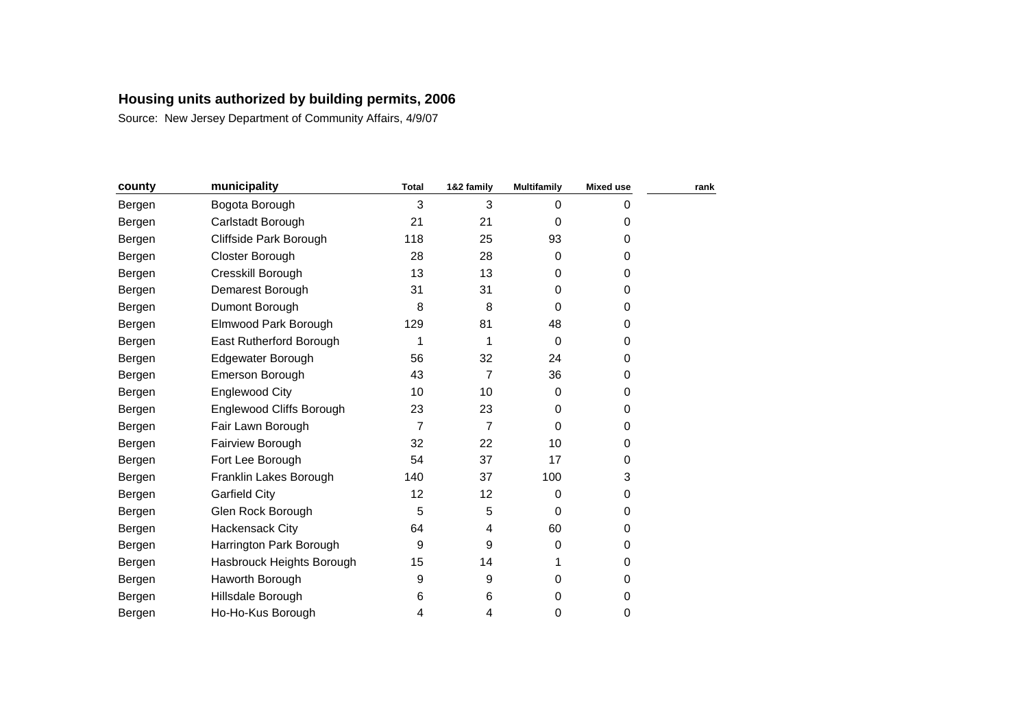| county | municipality              | <b>Total</b>   | 1&2 family | <b>Multifamily</b> | <b>Mixed use</b> | rank |
|--------|---------------------------|----------------|------------|--------------------|------------------|------|
| Bergen | Bogota Borough            | 3              | 3          | $\Omega$           | 0                |      |
| Bergen | Carlstadt Borough         | 21             | 21         | $\Omega$           | 0                |      |
| Bergen | Cliffside Park Borough    | 118            | 25         | 93                 | 0                |      |
| Bergen | Closter Borough           | 28             | 28         | $\Omega$           | 0                |      |
| Bergen | Cresskill Borough         | 13             | 13         | 0                  | 0                |      |
| Bergen | Demarest Borough          | 31             | 31         | 0                  | 0                |      |
| Bergen | Dumont Borough            | 8              | 8          | $\Omega$           | 0                |      |
| Bergen | Elmwood Park Borough      | 129            | 81         | 48                 | 0                |      |
| Bergen | East Rutherford Borough   | 1              | 1          | $\Omega$           | 0                |      |
| Bergen | Edgewater Borough         | 56             | 32         | 24                 | 0                |      |
| Bergen | Emerson Borough           | 43             | 7          | 36                 | 0                |      |
| Bergen | Englewood City            | 10             | 10         | $\mathbf 0$        | 0                |      |
| Bergen | Englewood Cliffs Borough  | 23             | 23         | $\Omega$           | 0                |      |
| Bergen | Fair Lawn Borough         | $\overline{7}$ | 7          | $\Omega$           | 0                |      |
| Bergen | Fairview Borough          | 32             | 22         | 10                 | 0                |      |
| Bergen | Fort Lee Borough          | 54             | 37         | 17                 | 0                |      |
| Bergen | Franklin Lakes Borough    | 140            | 37         | 100                | 3                |      |
| Bergen | <b>Garfield City</b>      | 12             | 12         | 0                  | 0                |      |
| Bergen | Glen Rock Borough         | 5              | 5          | $\Omega$           | 0                |      |
| Bergen | <b>Hackensack City</b>    | 64             | 4          | 60                 | 0                |      |
| Bergen | Harrington Park Borough   | 9              | 9          | 0                  | 0                |      |
| Bergen | Hasbrouck Heights Borough | 15             | 14         |                    | 0                |      |
| Bergen | Haworth Borough           | 9              | 9          | $\Omega$           | 0                |      |
| Bergen | Hillsdale Borough         | 6              | 6          | 0                  | 0                |      |
| Bergen | Ho-Ho-Kus Borough         | 4              | 4          | 0                  | 0                |      |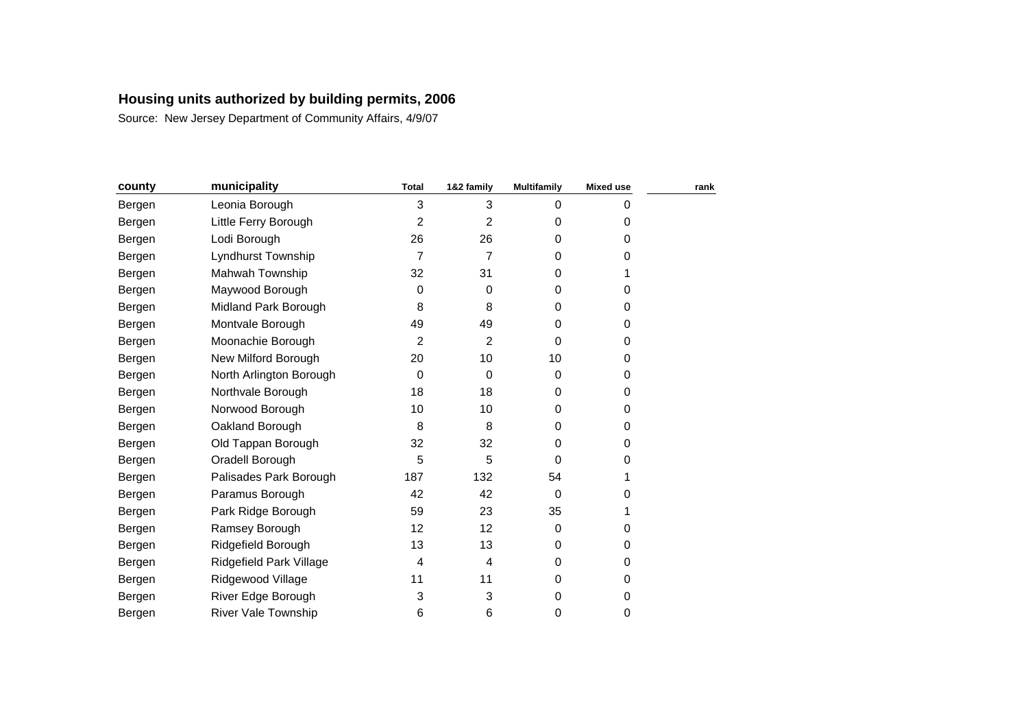| county | municipality               | <b>Total</b>     | 1&2 family     | <b>Multifamily</b> | <b>Mixed use</b> | rank |
|--------|----------------------------|------------------|----------------|--------------------|------------------|------|
| Bergen | Leonia Borough             | 3                | 3              | $\mathbf 0$        | 0                |      |
| Bergen | Little Ferry Borough       | 2                | 2              | 0                  | 0                |      |
| Bergen | Lodi Borough               | 26               | 26             | 0                  | 0                |      |
| Bergen | Lyndhurst Township         | $\overline{7}$   | 7              | 0                  | 0                |      |
| Bergen | Mahwah Township            | 32               | 31             | 0                  | 1                |      |
| Bergen | Maywood Borough            | 0                | 0              | 0                  | 0                |      |
| Bergen | Midland Park Borough       | 8                | 8              | 0                  | 0                |      |
| Bergen | Montvale Borough           | 49               | 49             | 0                  | 0                |      |
| Bergen | Moonachie Borough          | $\overline{2}$   | $\overline{2}$ | $\Omega$           | 0                |      |
| Bergen | New Milford Borough        | 20               | 10             | 10                 | 0                |      |
| Bergen | North Arlington Borough    | $\boldsymbol{0}$ | $\mathbf 0$    | 0                  | 0                |      |
| Bergen | Northvale Borough          | 18               | 18             | 0                  | 0                |      |
| Bergen | Norwood Borough            | 10               | 10             | 0                  | 0                |      |
| Bergen | Oakland Borough            | 8                | 8              | 0                  | 0                |      |
| Bergen | Old Tappan Borough         | 32               | 32             | 0                  | 0                |      |
| Bergen | Oradell Borough            | 5                | 5              | $\Omega$           | 0                |      |
| Bergen | Palisades Park Borough     | 187              | 132            | 54                 |                  |      |
| Bergen | Paramus Borough            | 42               | 42             | 0                  | 0                |      |
| Bergen | Park Ridge Borough         | 59               | 23             | 35                 |                  |      |
| Bergen | Ramsey Borough             | 12               | 12             | 0                  | 0                |      |
| Bergen | Ridgefield Borough         | 13               | 13             | 0                  | 0                |      |
| Bergen | Ridgefield Park Village    | 4                | 4              | 0                  | 0                |      |
| Bergen | Ridgewood Village          | 11               | 11             | $\Omega$           | 0                |      |
| Bergen | River Edge Borough         | 3                | 3              | 0                  | 0                |      |
| Bergen | <b>River Vale Township</b> | 6                | 6              | 0                  | 0                |      |
|        |                            |                  |                |                    |                  |      |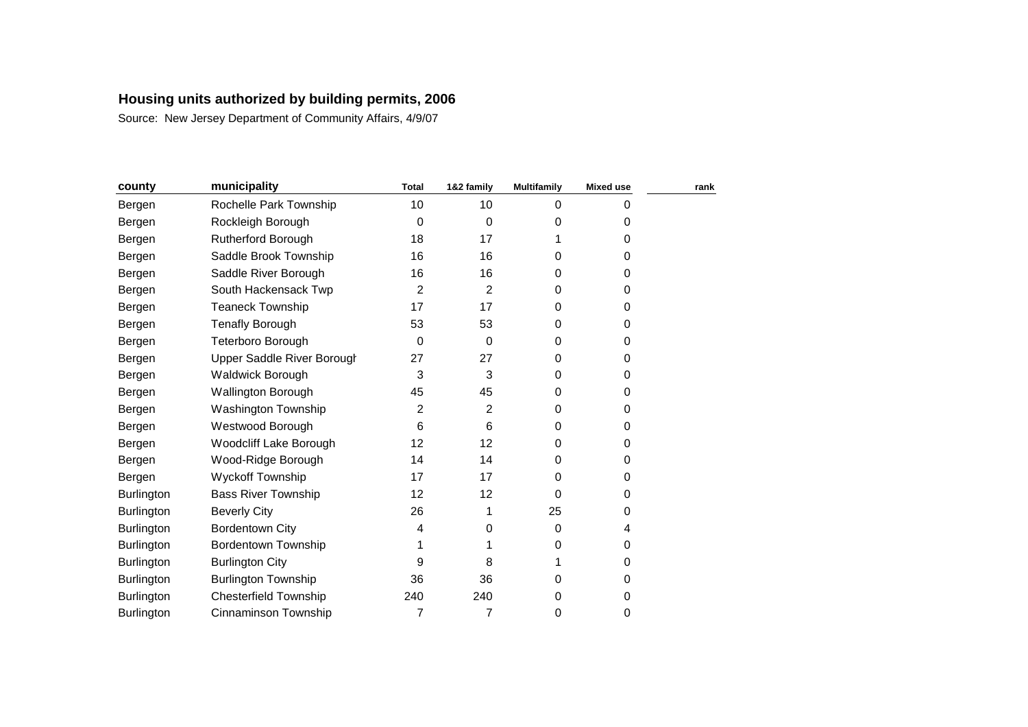| county     | municipality                 | <b>Total</b> | 1&2 family  | <b>Multifamily</b> | <b>Mixed use</b> | rank |
|------------|------------------------------|--------------|-------------|--------------------|------------------|------|
| Bergen     | Rochelle Park Township       | 10           | 10          | 0                  | 0                |      |
| Bergen     | Rockleigh Borough            | 0            | $\mathbf 0$ | 0                  | 0                |      |
| Bergen     | <b>Rutherford Borough</b>    | 18           | 17          |                    | 0                |      |
| Bergen     | Saddle Brook Township        | 16           | 16          | $\Omega$           | 0                |      |
| Bergen     | Saddle River Borough         | 16           | 16          | $\Omega$           | 0                |      |
| Bergen     | South Hackensack Twp         | 2            | 2           | $\Omega$           | 0                |      |
| Bergen     | <b>Teaneck Township</b>      | 17           | 17          | $\Omega$           | 0                |      |
| Bergen     | <b>Tenafly Borough</b>       | 53           | 53          | 0                  | 0                |      |
| Bergen     | Teterboro Borough            | 0            | $\mathbf 0$ | 0                  | 0                |      |
| Bergen     | Upper Saddle River Borough   | 27           | 27          | $\Omega$           | 0                |      |
| Bergen     | <b>Waldwick Borough</b>      | 3            | 3           | $\Omega$           | 0                |      |
| Bergen     | <b>Wallington Borough</b>    | 45           | 45          | $\Omega$           | 0                |      |
| Bergen     | Washington Township          | 2            | 2           | $\Omega$           | 0                |      |
| Bergen     | Westwood Borough             | 6            | 6           | $\Omega$           | 0                |      |
| Bergen     | Woodcliff Lake Borough       | 12           | 12          | $\Omega$           | 0                |      |
| Bergen     | Wood-Ridge Borough           | 14           | 14          | $\Omega$           | 0                |      |
| Bergen     | Wyckoff Township             | 17           | 17          | 0                  | 0                |      |
| Burlington | <b>Bass River Township</b>   | 12           | 12          | $\Omega$           | 0                |      |
| Burlington | <b>Beverly City</b>          | 26           |             | 25                 | 0                |      |
| Burlington | <b>Bordentown City</b>       | 4            | 0           | 0                  | 4                |      |
| Burlington | <b>Bordentown Township</b>   | 1            |             | 0                  | 0                |      |
| Burlington | <b>Burlington City</b>       | 9            | 8           |                    | 0                |      |
| Burlington | <b>Burlington Township</b>   | 36           | 36          | $\Omega$           | 0                |      |
| Burlington | <b>Chesterfield Township</b> | 240          | 240         | 0                  | 0                |      |
| Burlington | Cinnaminson Township         | 7            | 7           | 0                  | 0                |      |
|            |                              |              |             |                    |                  |      |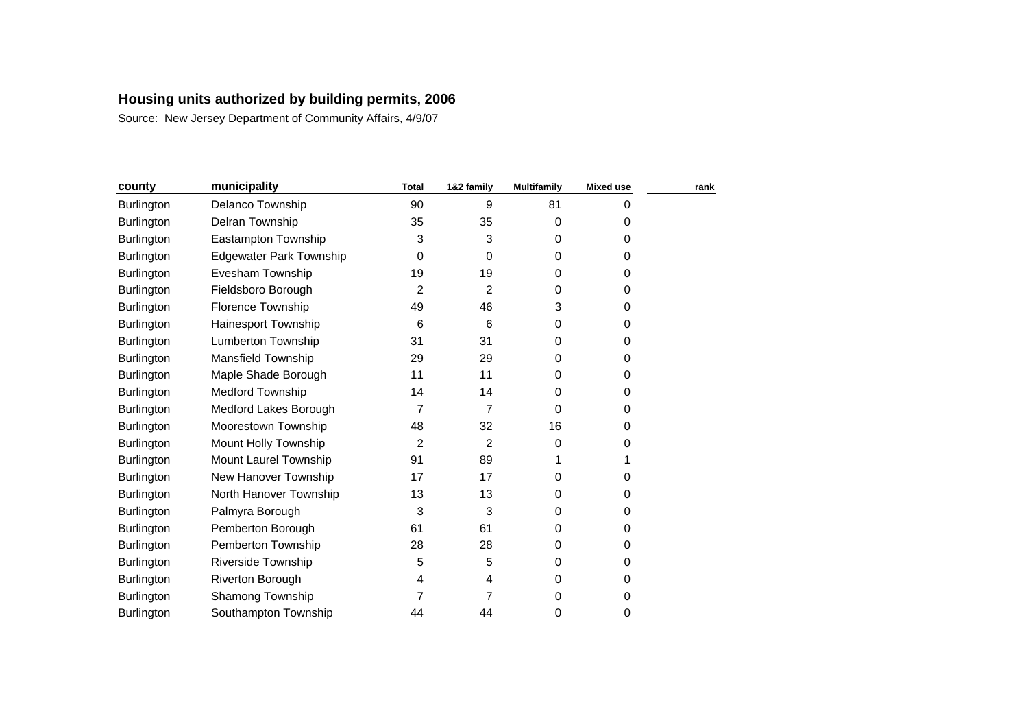| county            | municipality                   | <b>Total</b>   | 1&2 family     | <b>Multifamily</b> | <b>Mixed use</b> | rank |
|-------------------|--------------------------------|----------------|----------------|--------------------|------------------|------|
| Burlington        | Delanco Township               | 90             | 9              | 81                 | 0                |      |
| Burlington        | Delran Township                | 35             | 35             | 0                  | 0                |      |
| <b>Burlington</b> | Eastampton Township            | 3              | 3              | 0                  | 0                |      |
| <b>Burlington</b> | <b>Edgewater Park Township</b> | 0              | $\Omega$       | $\Omega$           | 0                |      |
| <b>Burlington</b> | Evesham Township               | 19             | 19             | $\Omega$           | 0                |      |
| Burlington        | Fieldsboro Borough             | 2              | 2              | 0                  | 0                |      |
| <b>Burlington</b> | <b>Florence Township</b>       | 49             | 46             | 3                  | 0                |      |
| <b>Burlington</b> | Hainesport Township            | 6              | 6              | 0                  | 0                |      |
| <b>Burlington</b> | <b>Lumberton Township</b>      | 31             | 31             | 0                  | 0                |      |
| <b>Burlington</b> | Mansfield Township             | 29             | 29             | 0                  | 0                |      |
| Burlington        | Maple Shade Borough            | 11             | 11             | 0                  | 0                |      |
| Burlington        | <b>Medford Township</b>        | 14             | 14             | 0                  | 0                |      |
| Burlington        | Medford Lakes Borough          | 7              | $\overline{7}$ | $\Omega$           | 0                |      |
| Burlington        | Moorestown Township            | 48             | 32             | 16                 | 0                |      |
| <b>Burlington</b> | Mount Holly Township           | $\overline{c}$ | 2              | 0                  | 0                |      |
| <b>Burlington</b> | Mount Laurel Township          | 91             | 89             |                    |                  |      |
| Burlington        | New Hanover Township           | 17             | 17             | 0                  | 0                |      |
| <b>Burlington</b> | North Hanover Township         | 13             | 13             | $\Omega$           | 0                |      |
| Burlington        | Palmyra Borough                | 3              | 3              | 0                  | 0                |      |
| <b>Burlington</b> | Pemberton Borough              | 61             | 61             | 0                  | 0                |      |
| Burlington        | Pemberton Township             | 28             | 28             | 0                  | 0                |      |
| Burlington        | <b>Riverside Township</b>      | 5              | 5              | 0                  | 0                |      |
| <b>Burlington</b> | Riverton Borough               | 4              | 4              | 0                  | 0                |      |
| <b>Burlington</b> | Shamong Township               | 7              | 7              | 0                  | 0                |      |
| <b>Burlington</b> | Southampton Township           | 44             | 44             | 0                  | 0                |      |
|                   |                                |                |                |                    |                  |      |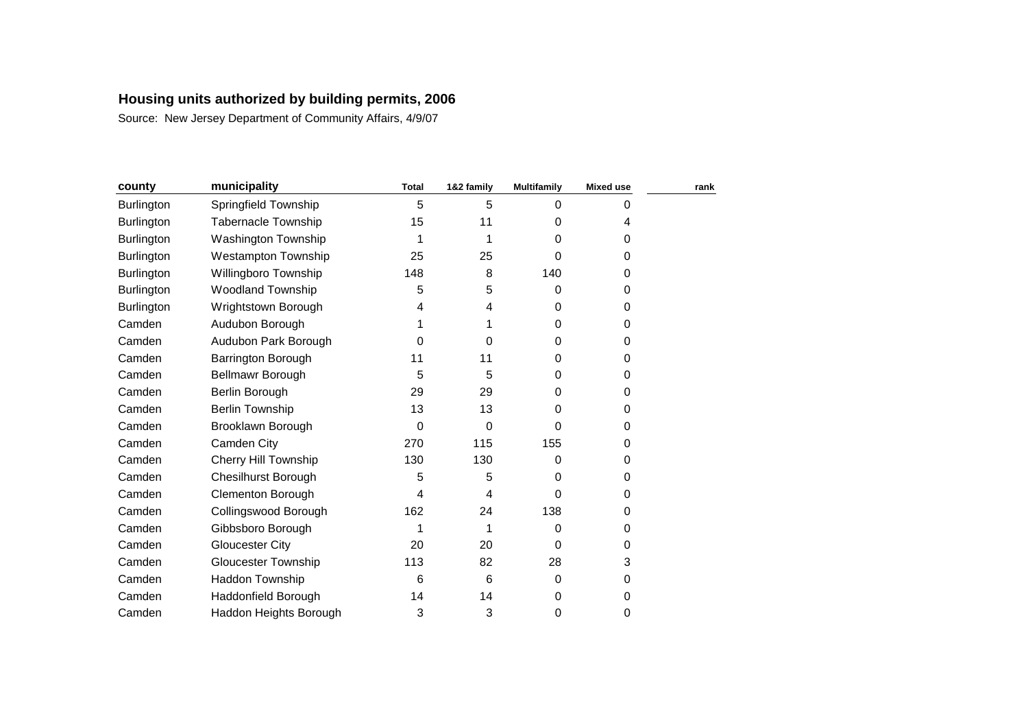| county            | municipality               | <b>Total</b> | 1&2 family | <b>Multifamily</b> | <b>Mixed use</b> | rank |
|-------------------|----------------------------|--------------|------------|--------------------|------------------|------|
| Burlington        | Springfield Township       | 5            | 5          | $\Omega$           | 0                |      |
| <b>Burlington</b> | <b>Tabernacle Township</b> | 15           | 11         | 0                  | 4                |      |
| Burlington        | Washington Township        | 1            |            | 0                  | 0                |      |
| Burlington        | <b>Westampton Township</b> | 25           | 25         | 0                  | 0                |      |
| <b>Burlington</b> | Willingboro Township       | 148          | 8          | 140                | 0                |      |
| Burlington        | Woodland Township          | 5            | 5          | 0                  | 0                |      |
| <b>Burlington</b> | Wrightstown Borough        | 4            | 4          | 0                  | 0                |      |
| Camden            | Audubon Borough            | 1            |            | $\Omega$           | 0                |      |
| Camden            | Audubon Park Borough       | 0            | 0          | 0                  | 0                |      |
| Camden            | <b>Barrington Borough</b>  | 11           | 11         | 0                  | 0                |      |
| Camden            | Bellmawr Borough           | 5            | 5          | 0                  | 0                |      |
| Camden            | Berlin Borough             | 29           | 29         | 0                  | 0                |      |
| Camden            | <b>Berlin Township</b>     | 13           | 13         | 0                  | 0                |      |
| Camden            | Brooklawn Borough          | 0            | $\Omega$   | 0                  | 0                |      |
| Camden            | Camden City                | 270          | 115        | 155                | 0                |      |
| Camden            | Cherry Hill Township       | 130          | 130        | 0                  | 0                |      |
| Camden            | <b>Chesilhurst Borough</b> | 5            | 5          | $\Omega$           | 0                |      |
| Camden            | Clementon Borough          | 4            | 4          | $\Omega$           | 0                |      |
| Camden            | Collingswood Borough       | 162          | 24         | 138                | 0                |      |
| Camden            | Gibbsboro Borough          | 1            | 1          | 0                  | 0                |      |
| Camden            | Gloucester City            | 20           | 20         | $\Omega$           | 0                |      |
| Camden            | <b>Gloucester Township</b> | 113          | 82         | 28                 | 3                |      |
| Camden            | Haddon Township            | 6            | 6          | 0                  | 0                |      |
| Camden            | Haddonfield Borough        | 14           | 14         | 0                  | 0                |      |
| Camden            | Haddon Heights Borough     | 3            | 3          | 0                  | 0                |      |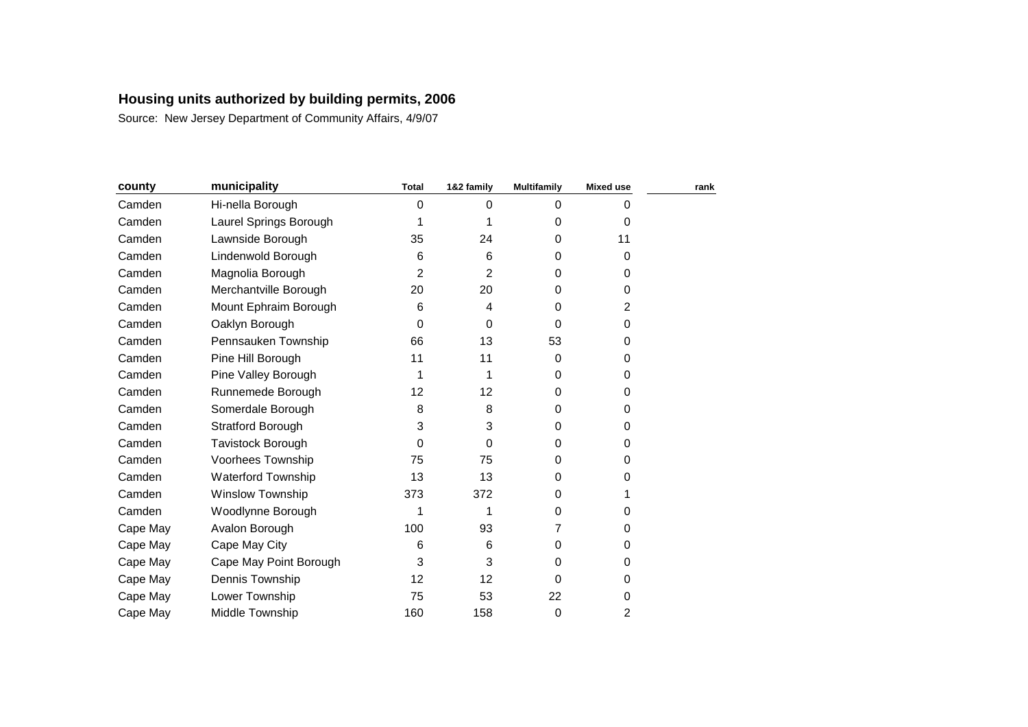| county   | municipality             | <b>Total</b> | 1&2 family | <b>Multifamily</b> | <b>Mixed use</b> | rank |
|----------|--------------------------|--------------|------------|--------------------|------------------|------|
| Camden   | Hi-nella Borough         | 0            | $\Omega$   | $\Omega$           | 0                |      |
| Camden   | Laurel Springs Borough   | 1            |            | 0                  | 0                |      |
| Camden   | Lawnside Borough         | 35           | 24         | $\Omega$           | 11               |      |
| Camden   | Lindenwold Borough       | 6            | 6          | 0                  | 0                |      |
| Camden   | Magnolia Borough         | 2            | 2          | $\Omega$           | 0                |      |
| Camden   | Merchantville Borough    | 20           | 20         | 0                  | 0                |      |
| Camden   | Mount Ephraim Borough    | 6            | 4          | 0                  | 2                |      |
| Camden   | Oaklyn Borough           | 0            | $\Omega$   | $\Omega$           | 0                |      |
| Camden   | Pennsauken Township      | 66           | 13         | 53                 | 0                |      |
| Camden   | Pine Hill Borough        | 11           | 11         | $\Omega$           | 0                |      |
| Camden   | Pine Valley Borough      | 1            |            | $\Omega$           | 0                |      |
| Camden   | Runnemede Borough        | 12           | 12         | 0                  | 0                |      |
| Camden   | Somerdale Borough        | 8            | 8          | 0                  | 0                |      |
| Camden   | <b>Stratford Borough</b> | 3            | 3          | 0                  | 0                |      |
| Camden   | Tavistock Borough        | 0            | 0          | 0                  | 0                |      |
| Camden   | Voorhees Township        | 75           | 75         | $\Omega$           | 0                |      |
| Camden   | Waterford Township       | 13           | 13         | 0                  | 0                |      |
| Camden   | <b>Winslow Township</b>  | 373          | 372        | $\Omega$           |                  |      |
| Camden   | Woodlynne Borough        | 1            |            | $\Omega$           | 0                |      |
| Cape May | Avalon Borough           | 100          | 93         | 7                  | 0                |      |
| Cape May | Cape May City            | 6            | 6          | $\Omega$           | 0                |      |
| Cape May | Cape May Point Borough   | 3            | 3          | $\Omega$           | 0                |      |
| Cape May | Dennis Township          | 12           | 12         | $\Omega$           | 0                |      |
| Cape May | Lower Township           | 75           | 53         | 22                 | 0                |      |
| Cape May | Middle Township          | 160          | 158        | 0                  | $\overline{c}$   |      |
|          |                          |              |            |                    |                  |      |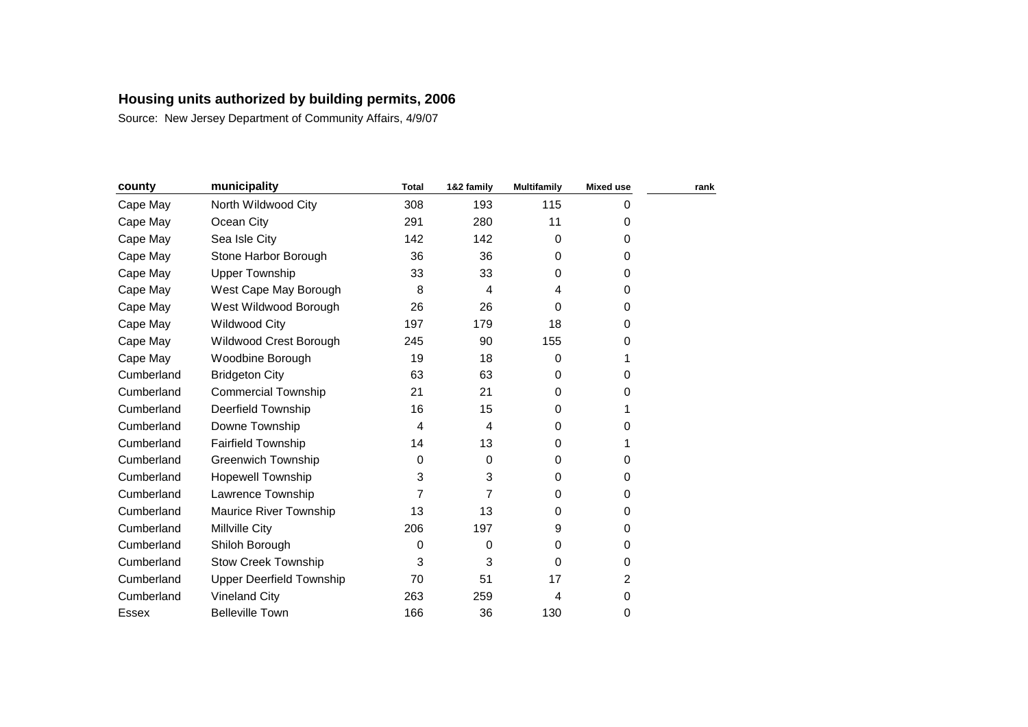| county     | municipality                    | <b>Total</b> | 1&2 family | <b>Multifamily</b> | <b>Mixed use</b> | rank |
|------------|---------------------------------|--------------|------------|--------------------|------------------|------|
| Cape May   | North Wildwood City             | 308          | 193        | 115                | 0                |      |
| Cape May   | Ocean City                      | 291          | 280        | 11                 | 0                |      |
| Cape May   | Sea Isle City                   | 142          | 142        | $\Omega$           | 0                |      |
| Cape May   | Stone Harbor Borough            | 36           | 36         | $\Omega$           | 0                |      |
| Cape May   | <b>Upper Township</b>           | 33           | 33         | 0                  | 0                |      |
| Cape May   | West Cape May Borough           | 8            | 4          | 4                  | 0                |      |
| Cape May   | West Wildwood Borough           | 26           | 26         | 0                  | 0                |      |
| Cape May   | <b>Wildwood City</b>            | 197          | 179        | 18                 | 0                |      |
| Cape May   | Wildwood Crest Borough          | 245          | 90         | 155                | 0                |      |
| Cape May   | Woodbine Borough                | 19           | 18         | 0                  | 1                |      |
| Cumberland | <b>Bridgeton City</b>           | 63           | 63         | $\Omega$           | 0                |      |
| Cumberland | <b>Commercial Township</b>      | 21           | 21         | 0                  | 0                |      |
| Cumberland | <b>Deerfield Township</b>       | 16           | 15         | $\Omega$           | 1                |      |
| Cumberland | Downe Township                  | 4            | 4          | 0                  | 0                |      |
| Cumberland | <b>Fairfield Township</b>       | 14           | 13         | 0                  | 1                |      |
| Cumberland | <b>Greenwich Township</b>       | 0            | $\Omega$   | $\Omega$           | 0                |      |
| Cumberland | <b>Hopewell Township</b>        | 3            | 3          | 0                  | 0                |      |
| Cumberland | Lawrence Township               | 7            | 7          | $\Omega$           | 0                |      |
| Cumberland | Maurice River Township          | 13           | 13         | 0                  | 0                |      |
| Cumberland | <b>Millville City</b>           | 206          | 197        | 9                  | 0                |      |
| Cumberland | Shiloh Borough                  | 0            | 0          | 0                  | 0                |      |
| Cumberland | <b>Stow Creek Township</b>      | 3            | 3          | $\Omega$           | 0                |      |
| Cumberland | <b>Upper Deerfield Township</b> | 70           | 51         | 17                 | 2                |      |
| Cumberland | <b>Vineland City</b>            | 263          | 259        | 4                  | 0                |      |
| Essex      | <b>Belleville Town</b>          | 166          | 36         | 130                | 0                |      |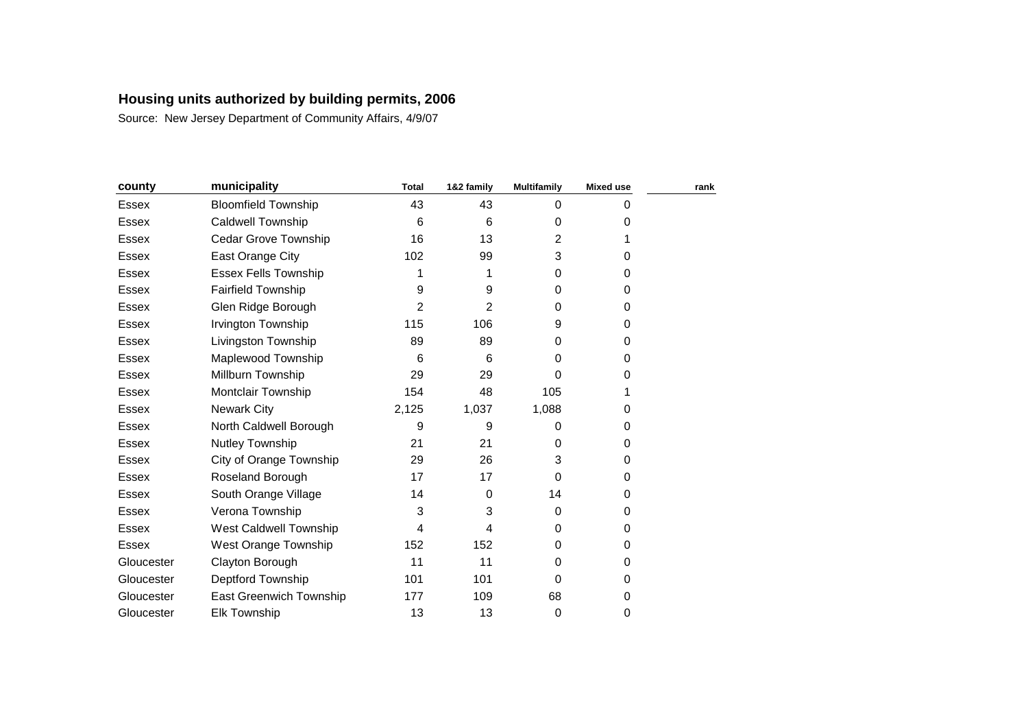| county       | municipality                | <b>Total</b> | 1&2 family | <b>Multifamily</b> | <b>Mixed use</b> | rank |
|--------------|-----------------------------|--------------|------------|--------------------|------------------|------|
| <b>Essex</b> | <b>Bloomfield Township</b>  | 43           | 43         | $\Omega$           | 0                |      |
| <b>Essex</b> | <b>Caldwell Township</b>    | 6            | 6          | 0                  | 0                |      |
| Essex        | Cedar Grove Township        | 16           | 13         | $\overline{2}$     |                  |      |
| <b>Essex</b> | East Orange City            | 102          | 99         | 3                  | 0                |      |
| <b>Essex</b> | <b>Essex Fells Township</b> | 1            | 1          | 0                  | 0                |      |
| <b>Essex</b> | <b>Fairfield Township</b>   | 9            | 9          | 0                  | 0                |      |
| Essex        | Glen Ridge Borough          | 2            | 2          | $\Omega$           | 0                |      |
| Essex        | Irvington Township          | 115          | 106        | 9                  | 0                |      |
| Essex        | Livingston Township         | 89           | 89         | 0                  | 0                |      |
| <b>Essex</b> | Maplewood Township          | 6            | 6          | 0                  | 0                |      |
| <b>Essex</b> | Millburn Township           | 29           | 29         | 0                  | 0                |      |
| <b>Essex</b> | Montclair Township          | 154          | 48         | 105                |                  |      |
| <b>Essex</b> | <b>Newark City</b>          | 2,125        | 1,037      | 1,088              | 0                |      |
| <b>Essex</b> | North Caldwell Borough      | 9            | 9          | 0                  | 0                |      |
| <b>Essex</b> | Nutley Township             | 21           | 21         | 0                  | 0                |      |
| Essex        | City of Orange Township     | 29           | 26         | 3                  | 0                |      |
| Essex        | Roseland Borough            | 17           | 17         | $\Omega$           | 0                |      |
| Essex        | South Orange Village        | 14           | 0          | 14                 | 0                |      |
| Essex        | Verona Township             | 3            | 3          | $\Omega$           | 0                |      |
| <b>Essex</b> | West Caldwell Township      | 4            | 4          | $\Omega$           | 0                |      |
| <b>Essex</b> | West Orange Township        | 152          | 152        | 0                  | 0                |      |
| Gloucester   | Clayton Borough             | 11           | 11         | $\Omega$           | 0                |      |
| Gloucester   | Deptford Township           | 101          | 101        | 0                  | 0                |      |
| Gloucester   | East Greenwich Township     | 177          | 109        | 68                 | 0                |      |
| Gloucester   | <b>Elk Township</b>         | 13           | 13         | 0                  | 0                |      |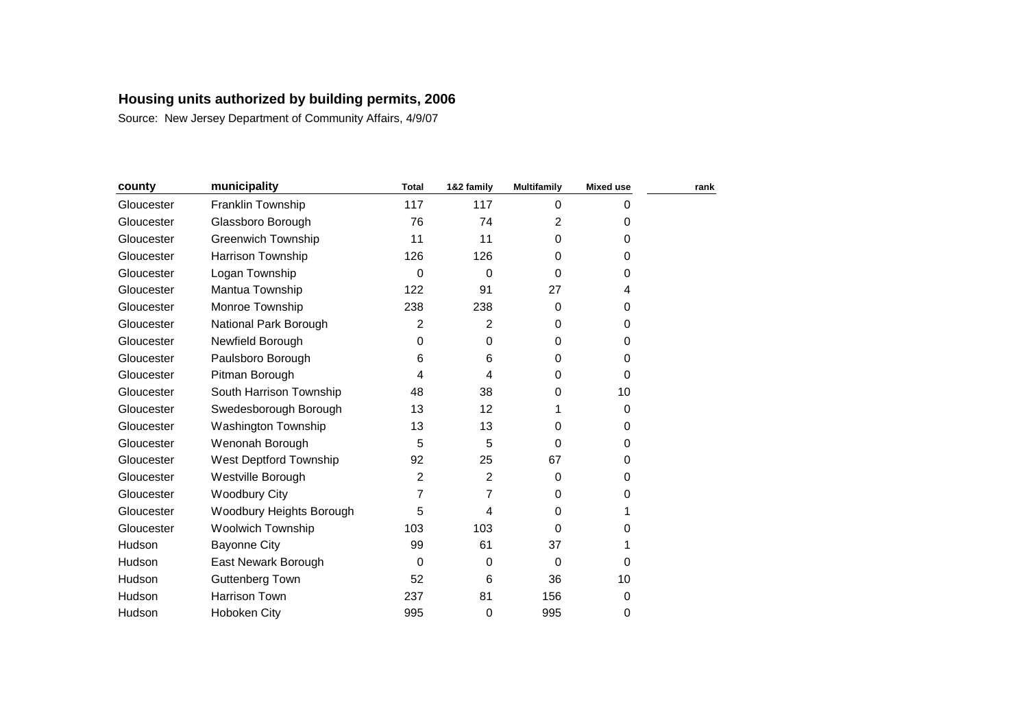| county     | municipality               | <b>Total</b> | 1&2 family | <b>Multifamily</b> | <b>Mixed use</b> | rank |
|------------|----------------------------|--------------|------------|--------------------|------------------|------|
| Gloucester | Franklin Township          | 117          | 117        | $\Omega$           | 0                |      |
| Gloucester | Glassboro Borough          | 76           | 74         | 2                  | 0                |      |
| Gloucester | <b>Greenwich Township</b>  | 11           | 11         | 0                  | 0                |      |
| Gloucester | Harrison Township          | 126          | 126        | 0                  | 0                |      |
| Gloucester | Logan Township             | $\mathbf 0$  | $\Omega$   | $\Omega$           | 0                |      |
| Gloucester | Mantua Township            | 122          | 91         | 27                 | 4                |      |
| Gloucester | Monroe Township            | 238          | 238        | $\Omega$           | 0                |      |
| Gloucester | National Park Borough      | 2            | 2          | 0                  | 0                |      |
| Gloucester | Newfield Borough           | 0            | 0          | $\Omega$           | 0                |      |
| Gloucester | Paulsboro Borough          | 6            | 6          | 0                  | 0                |      |
| Gloucester | Pitman Borough             | 4            | 4          | $\Omega$           | 0                |      |
| Gloucester | South Harrison Township    | 48           | 38         | 0                  | 10               |      |
| Gloucester | Swedesborough Borough      | 13           | 12         | 1                  | 0                |      |
| Gloucester | <b>Washington Township</b> | 13           | 13         | $\Omega$           | 0                |      |
| Gloucester | Wenonah Borough            | 5            | 5          | 0                  | 0                |      |
| Gloucester | West Deptford Township     | 92           | 25         | 67                 | 0                |      |
| Gloucester | Westville Borough          | 2            | 2          | $\Omega$           | 0                |      |
| Gloucester | <b>Woodbury City</b>       | 7            | 7          | $\Omega$           | 0                |      |
| Gloucester | Woodbury Heights Borough   | 5            | 4          | $\Omega$           |                  |      |
| Gloucester | <b>Woolwich Township</b>   | 103          | 103        | $\Omega$           | 0                |      |
| Hudson     | <b>Bayonne City</b>        | 99           | 61         | 37                 |                  |      |
| Hudson     | East Newark Borough        | $\mathbf 0$  | 0          | $\Omega$           | 0                |      |
| Hudson     | Guttenberg Town            | 52           | 6          | 36                 | 10               |      |
| Hudson     | Harrison Town              | 237          | 81         | 156                | 0                |      |
| Hudson     | Hoboken City               | 995          | 0          | 995                | 0                |      |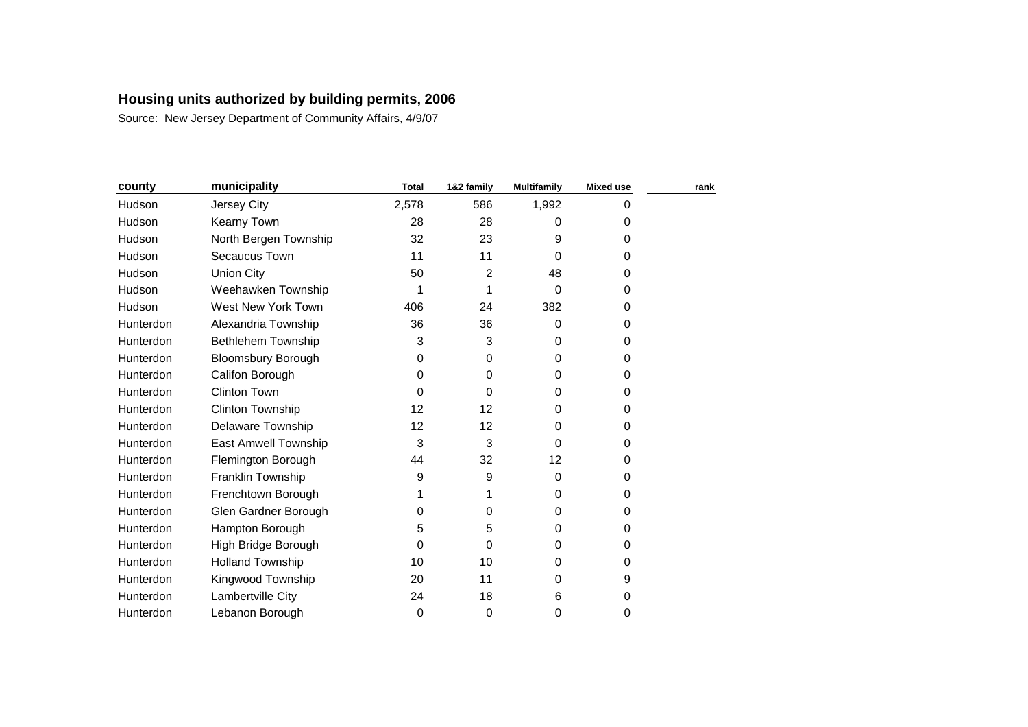| county    | municipality              | <b>Total</b> | 1&2 family | <b>Multifamily</b> | <b>Mixed use</b> | rank |
|-----------|---------------------------|--------------|------------|--------------------|------------------|------|
| Hudson    | Jersey City               | 2,578        | 586        | 1,992              | 0                |      |
| Hudson    | <b>Kearny Town</b>        | 28           | 28         | 0                  | 0                |      |
| Hudson    | North Bergen Township     | 32           | 23         | 9                  | 0                |      |
| Hudson    | Secaucus Town             | 11           | 11         | 0                  | 0                |      |
| Hudson    | <b>Union City</b>         | 50           | 2          | 48                 | 0                |      |
| Hudson    | Weehawken Township        | 1            |            | 0                  | 0                |      |
| Hudson    | West New York Town        | 406          | 24         | 382                | 0                |      |
| Hunterdon | Alexandria Township       | 36           | 36         | 0                  | 0                |      |
| Hunterdon | Bethlehem Township        | 3            | 3          | $\Omega$           | 0                |      |
| Hunterdon | <b>Bloomsbury Borough</b> | 0            | 0          | 0                  | 0                |      |
| Hunterdon | Califon Borough           | 0            | 0          | 0                  | 0                |      |
| Hunterdon | <b>Clinton Town</b>       | 0            | 0          | 0                  | 0                |      |
| Hunterdon | <b>Clinton Township</b>   | 12           | 12         | $\Omega$           | 0                |      |
| Hunterdon | <b>Delaware Township</b>  | 12           | 12         | 0                  | 0                |      |
| Hunterdon | East Amwell Township      | 3            | 3          | 0                  | 0                |      |
| Hunterdon | Flemington Borough        | 44           | 32         | 12                 | 0                |      |
| Hunterdon | Franklin Township         | 9            | 9          | $\Omega$           | 0                |      |
| Hunterdon | Frenchtown Borough        | 1            |            | 0                  | 0                |      |
| Hunterdon | Glen Gardner Borough      | 0            | 0          | $\Omega$           | 0                |      |
| Hunterdon | Hampton Borough           | 5            | 5          | 0                  | 0                |      |
| Hunterdon | High Bridge Borough       | 0            | 0          | 0                  | 0                |      |
| Hunterdon | <b>Holland Township</b>   | 10           | 10         | 0                  | 0                |      |
| Hunterdon | Kingwood Township         | 20           | 11         | 0                  | 9                |      |
| Hunterdon | Lambertville City         | 24           | 18         | 6                  | 0                |      |
| Hunterdon | Lebanon Borough           | 0            | 0          | 0                  | 0                |      |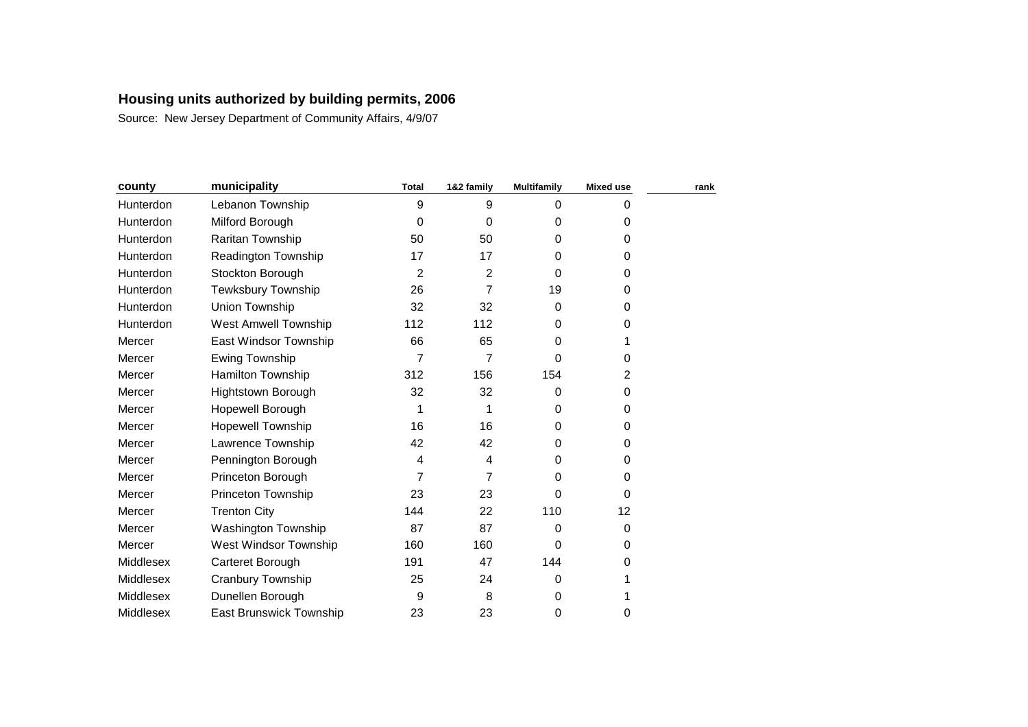| county    | municipality                   | <b>Total</b>   | 1&2 family     | <b>Multifamily</b> | <b>Mixed use</b> | rank |
|-----------|--------------------------------|----------------|----------------|--------------------|------------------|------|
| Hunterdon | Lebanon Township               | 9              | 9              | $\Omega$           | 0                |      |
| Hunterdon | Milford Borough                | 0              | $\Omega$       | 0                  | 0                |      |
| Hunterdon | Raritan Township               | 50             | 50             | 0                  | 0                |      |
| Hunterdon | <b>Readington Township</b>     | 17             | 17             | 0                  | 0                |      |
| Hunterdon | Stockton Borough               | $\overline{2}$ | $\overline{2}$ | $\Omega$           | 0                |      |
| Hunterdon | Tewksbury Township             | 26             | 7              | 19                 | 0                |      |
| Hunterdon | Union Township                 | 32             | 32             | $\Omega$           | 0                |      |
| Hunterdon | <b>West Amwell Township</b>    | 112            | 112            | 0                  | 0                |      |
| Mercer    | East Windsor Township          | 66             | 65             | 0                  | 1                |      |
| Mercer    | <b>Ewing Township</b>          | 7              | 7              | 0                  | 0                |      |
| Mercer    | <b>Hamilton Township</b>       | 312            | 156            | 154                | $\overline{c}$   |      |
| Mercer    | Hightstown Borough             | 32             | 32             | 0                  | 0                |      |
| Mercer    | Hopewell Borough               | 1              |                | $\Omega$           | 0                |      |
| Mercer    | <b>Hopewell Township</b>       | 16             | 16             | 0                  | 0                |      |
| Mercer    | Lawrence Township              | 42             | 42             | 0                  | 0                |      |
| Mercer    | Pennington Borough             | 4              | 4              | $\Omega$           | 0                |      |
| Mercer    | Princeton Borough              | 7              | 7              | 0                  | 0                |      |
| Mercer    | <b>Princeton Township</b>      | 23             | 23             | 0                  | 0                |      |
| Mercer    | <b>Trenton City</b>            | 144            | 22             | 110                | 12               |      |
| Mercer    | Washington Township            | 87             | 87             | $\Omega$           | 0                |      |
| Mercer    | West Windsor Township          | 160            | 160            | 0                  | 0                |      |
| Middlesex | Carteret Borough               | 191            | 47             | 144                | 0                |      |
| Middlesex | Cranbury Township              | 25             | 24             | 0                  |                  |      |
| Middlesex | Dunellen Borough               | 9              | 8              | 0                  |                  |      |
| Middlesex | <b>East Brunswick Township</b> | 23             | 23             | 0                  | 0                |      |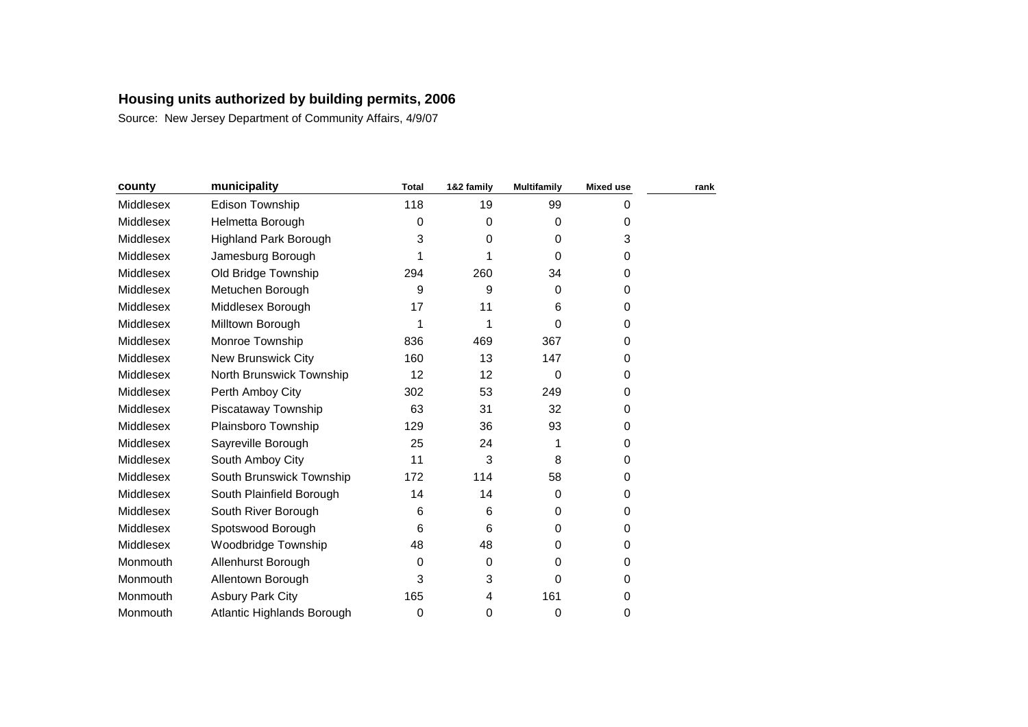| county    | municipality                 | <b>Total</b> | 1&2 family | <b>Multifamily</b> | <b>Mixed use</b> | rank |
|-----------|------------------------------|--------------|------------|--------------------|------------------|------|
| Middlesex | Edison Township              | 118          | 19         | 99                 | 0                |      |
| Middlesex | Helmetta Borough             | 0            | 0          | $\Omega$           | 0                |      |
| Middlesex | <b>Highland Park Borough</b> | 3            | 0          | $\Omega$           | 3                |      |
| Middlesex | Jamesburg Borough            | 1            |            | $\Omega$           | 0                |      |
| Middlesex | Old Bridge Township          | 294          | 260        | 34                 | 0                |      |
| Middlesex | Metuchen Borough             | 9            | 9          | 0                  | 0                |      |
| Middlesex | Middlesex Borough            | 17           | 11         | 6                  | 0                |      |
| Middlesex | Milltown Borough             | 1            |            | $\Omega$           | 0                |      |
| Middlesex | Monroe Township              | 836          | 469        | 367                | 0                |      |
| Middlesex | <b>New Brunswick City</b>    | 160          | 13         | 147                | 0                |      |
| Middlesex | North Brunswick Township     | 12           | 12         | 0                  | 0                |      |
| Middlesex | Perth Amboy City             | 302          | 53         | 249                | 0                |      |
| Middlesex | Piscataway Township          | 63           | 31         | 32                 | 0                |      |
| Middlesex | Plainsboro Township          | 129          | 36         | 93                 | 0                |      |
| Middlesex | Sayreville Borough           | 25           | 24         | 1                  | 0                |      |
| Middlesex | South Amboy City             | 11           | 3          | 8                  | 0                |      |
| Middlesex | South Brunswick Township     | 172          | 114        | 58                 | 0                |      |
| Middlesex | South Plainfield Borough     | 14           | 14         | $\Omega$           | 0                |      |
| Middlesex | South River Borough          | 6            | 6          | $\Omega$           | 0                |      |
| Middlesex | Spotswood Borough            | 6            | 6          | $\Omega$           | 0                |      |
| Middlesex | Woodbridge Township          | 48           | 48         | 0                  | 0                |      |
| Monmouth  | Allenhurst Borough           | 0            | 0          | 0                  | 0                |      |
| Monmouth  | Allentown Borough            | 3            | 3          | 0                  | 0                |      |
| Monmouth  | <b>Asbury Park City</b>      | 165          | 4          | 161                | 0                |      |
| Monmouth  | Atlantic Highlands Borough   | 0            | 0          | 0                  | 0                |      |
|           |                              |              |            |                    |                  |      |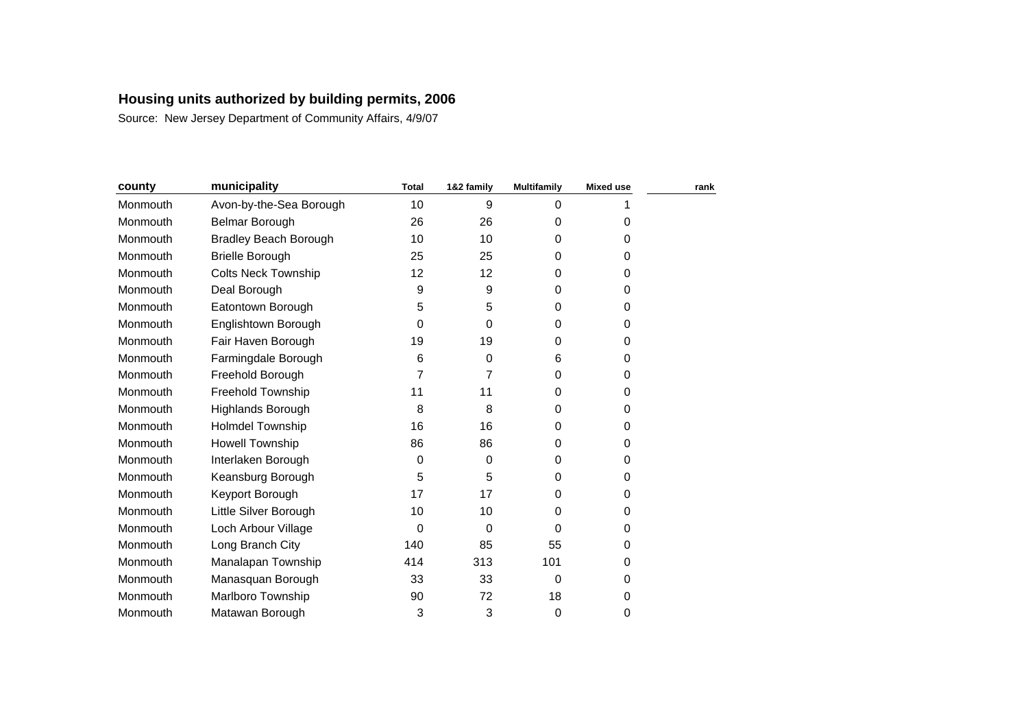| county   | municipality                 | <b>Total</b>   | 1&2 family | <b>Multifamily</b> | <b>Mixed use</b> | rank |
|----------|------------------------------|----------------|------------|--------------------|------------------|------|
| Monmouth | Avon-by-the-Sea Borough      | 10             | 9          | $\Omega$           |                  |      |
| Monmouth | Belmar Borough               | 26             | 26         | 0                  | 0                |      |
| Monmouth | <b>Bradley Beach Borough</b> | 10             | 10         | 0                  | 0                |      |
| Monmouth | <b>Brielle Borough</b>       | 25             | 25         | 0                  | 0                |      |
| Monmouth | <b>Colts Neck Township</b>   | 12             | 12         | 0                  | 0                |      |
| Monmouth | Deal Borough                 | 9              | 9          | $\Omega$           | 0                |      |
| Monmouth | Eatontown Borough            | 5              | 5          | 0                  | 0                |      |
| Monmouth | Englishtown Borough          | 0              | $\Omega$   | $\Omega$           | 0                |      |
| Monmouth | Fair Haven Borough           | 19             | 19         | $\Omega$           | 0                |      |
| Monmouth | Farmingdale Borough          | 6              | 0          | 6                  | 0                |      |
| Monmouth | Freehold Borough             | $\overline{7}$ | 7          | $\Omega$           | 0                |      |
| Monmouth | Freehold Township            | 11             | 11         | 0                  | 0                |      |
| Monmouth | Highlands Borough            | 8              | 8          | $\Omega$           | 0                |      |
| Monmouth | Holmdel Township             | 16             | 16         | 0                  | 0                |      |
| Monmouth | <b>Howell Township</b>       | 86             | 86         | 0                  | 0                |      |
| Monmouth | Interlaken Borough           | 0              | 0          | $\Omega$           | 0                |      |
| Monmouth | Keansburg Borough            | 5              | 5          | $\Omega$           | 0                |      |
| Monmouth | Keyport Borough              | 17             | 17         | $\Omega$           | 0                |      |
| Monmouth | Little Silver Borough        | 10             | 10         | 0                  | 0                |      |
| Monmouth | Loch Arbour Village          | 0              | $\Omega$   | $\Omega$           | 0                |      |
| Monmouth | Long Branch City             | 140            | 85         | 55                 | 0                |      |
| Monmouth | Manalapan Township           | 414            | 313        | 101                | 0                |      |
| Monmouth | Manasquan Borough            | 33             | 33         | 0                  | 0                |      |
| Monmouth | Marlboro Township            | 90             | 72         | 18                 | 0                |      |
| Monmouth | Matawan Borough              | 3              | 3          | 0                  | 0                |      |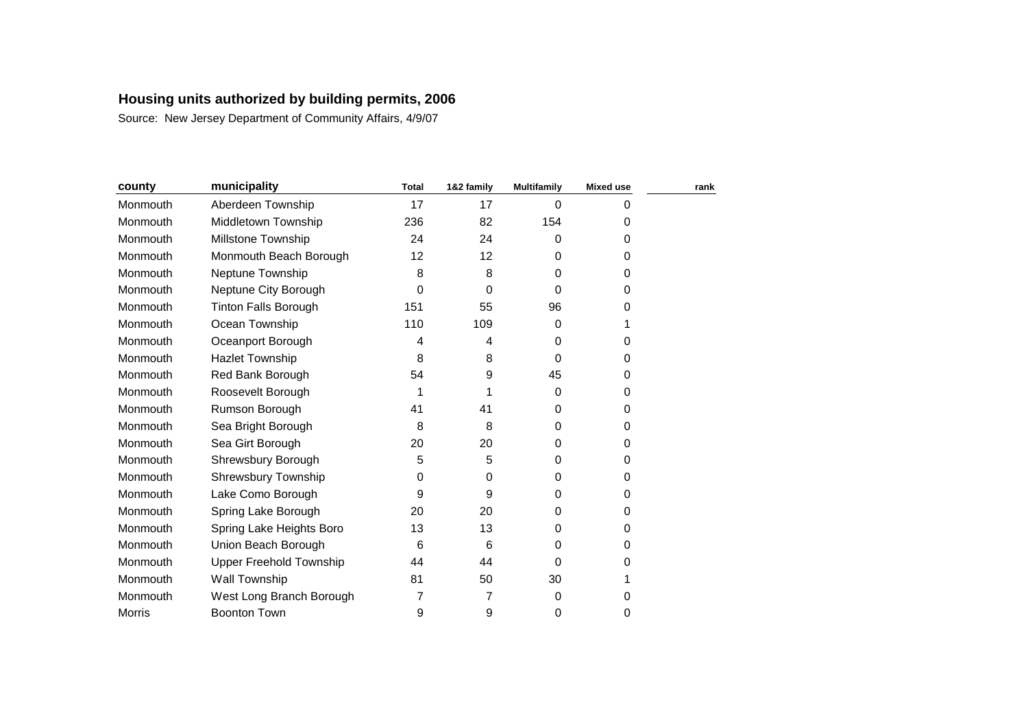| county        | municipality                   | <b>Total</b> | 1&2 family | <b>Multifamily</b> | <b>Mixed use</b> | rank |
|---------------|--------------------------------|--------------|------------|--------------------|------------------|------|
| Monmouth      | Aberdeen Township              | 17           | 17         | $\Omega$           | 0                |      |
| Monmouth      | Middletown Township            | 236          | 82         | 154                | 0                |      |
| Monmouth      | Millstone Township             | 24           | 24         | 0                  | 0                |      |
| Monmouth      | Monmouth Beach Borough         | 12           | 12         | $\Omega$           | 0                |      |
| Monmouth      | Neptune Township               | 8            | 8          | 0                  | 0                |      |
| Monmouth      | Neptune City Borough           | 0            | 0          | $\Omega$           | 0                |      |
| Monmouth      | <b>Tinton Falls Borough</b>    | 151          | 55         | 96                 | 0                |      |
| Monmouth      | Ocean Township                 | 110          | 109        | $\Omega$           |                  |      |
| Monmouth      | Oceanport Borough              | 4            | 4          | $\Omega$           | 0                |      |
| Monmouth      | <b>Hazlet Township</b>         | 8            | 8          | $\Omega$           | 0                |      |
| Monmouth      | Red Bank Borough               | 54           | 9          | 45                 | 0                |      |
| Monmouth      | Roosevelt Borough              | 1            |            | 0                  | 0                |      |
| Monmouth      | Rumson Borough                 | 41           | 41         | $\Omega$           | 0                |      |
| Monmouth      | Sea Bright Borough             | 8            | 8          | 0                  | 0                |      |
| Monmouth      | Sea Girt Borough               | 20           | 20         | $\Omega$           | 0                |      |
| Monmouth      | Shrewsbury Borough             | 5            | 5          | $\Omega$           | 0                |      |
| Monmouth      | <b>Shrewsbury Township</b>     | 0            | 0          | 0                  | 0                |      |
| Monmouth      | Lake Como Borough              | 9            | 9          | $\Omega$           | 0                |      |
| Monmouth      | Spring Lake Borough            | 20           | 20         | $\Omega$           | 0                |      |
| Monmouth      | Spring Lake Heights Boro       | 13           | 13         | $\Omega$           | 0                |      |
| Monmouth      | Union Beach Borough            | 6            | 6          | 0                  | 0                |      |
| Monmouth      | <b>Upper Freehold Township</b> | 44           | 44         | $\Omega$           | 0                |      |
| Monmouth      | Wall Township                  | 81           | 50         | 30                 |                  |      |
| Monmouth      | West Long Branch Borough       | 7            | 7          | 0                  | 0                |      |
| <b>Morris</b> | <b>Boonton Town</b>            | 9            | 9          | 0                  | 0                |      |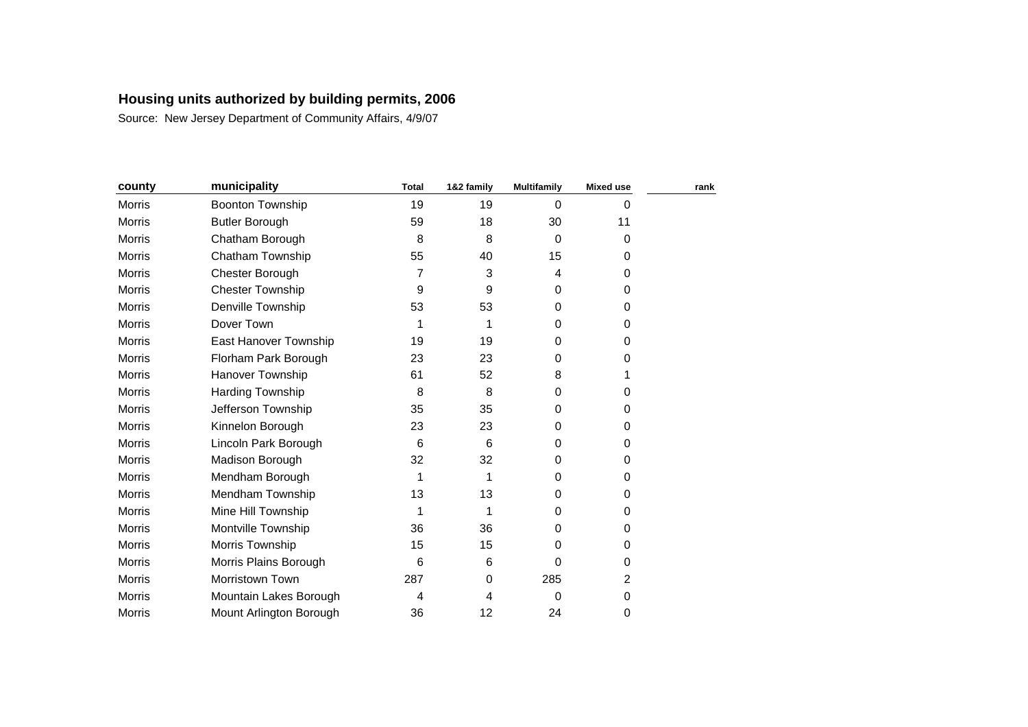| county        | municipality            | <b>Total</b> | 1&2 family | <b>Multifamily</b> | <b>Mixed use</b> | rank |
|---------------|-------------------------|--------------|------------|--------------------|------------------|------|
| Morris        | Boonton Township        | 19           | 19         | $\mathbf 0$        | 0                |      |
| <b>Morris</b> | <b>Butler Borough</b>   | 59           | 18         | 30                 | 11               |      |
| Morris        | Chatham Borough         | 8            | 8          | $\Omega$           | 0                |      |
| <b>Morris</b> | Chatham Township        | 55           | 40         | 15                 | 0                |      |
| Morris        | Chester Borough         | 7            | 3          | 4                  | 0                |      |
| <b>Morris</b> | <b>Chester Township</b> | 9            | 9          | $\Omega$           | 0                |      |
| Morris        | Denville Township       | 53           | 53         | $\Omega$           | 0                |      |
| Morris        | Dover Town              | 1            |            | 0                  | 0                |      |
| <b>Morris</b> | East Hanover Township   | 19           | 19         | 0                  | 0                |      |
| Morris        | Florham Park Borough    | 23           | 23         | $\Omega$           | 0                |      |
| <b>Morris</b> | Hanover Township        | 61           | 52         | 8                  | 1                |      |
| Morris        | Harding Township        | 8            | 8          | $\Omega$           | 0                |      |
| <b>Morris</b> | Jefferson Township      | 35           | 35         | $\Omega$           | 0                |      |
| Morris        | Kinnelon Borough        | 23           | 23         | $\Omega$           | 0                |      |
| Morris        | Lincoln Park Borough    | 6            | 6          | $\Omega$           | 0                |      |
| <b>Morris</b> | Madison Borough         | 32           | 32         | $\Omega$           | 0                |      |
| <b>Morris</b> | Mendham Borough         | 1            |            | 0                  | 0                |      |
| <b>Morris</b> | Mendham Township        | 13           | 13         | 0                  | 0                |      |
| Morris        | Mine Hill Township      | 1            |            | $\Omega$           | 0                |      |
| Morris        | Montville Township      | 36           | 36         | $\Omega$           | 0                |      |
| Morris        | Morris Township         | 15           | 15         | 0                  | 0                |      |
| Morris        | Morris Plains Borough   | 6            | 6          | 0                  | 0                |      |
| <b>Morris</b> | Morristown Town         | 287          | 0          | 285                | 2                |      |
| <b>Morris</b> | Mountain Lakes Borough  | 4            | 4          | 0                  | 0                |      |
| Morris        | Mount Arlington Borough | 36           | 12         | 24                 | 0                |      |
|               |                         |              |            |                    |                  |      |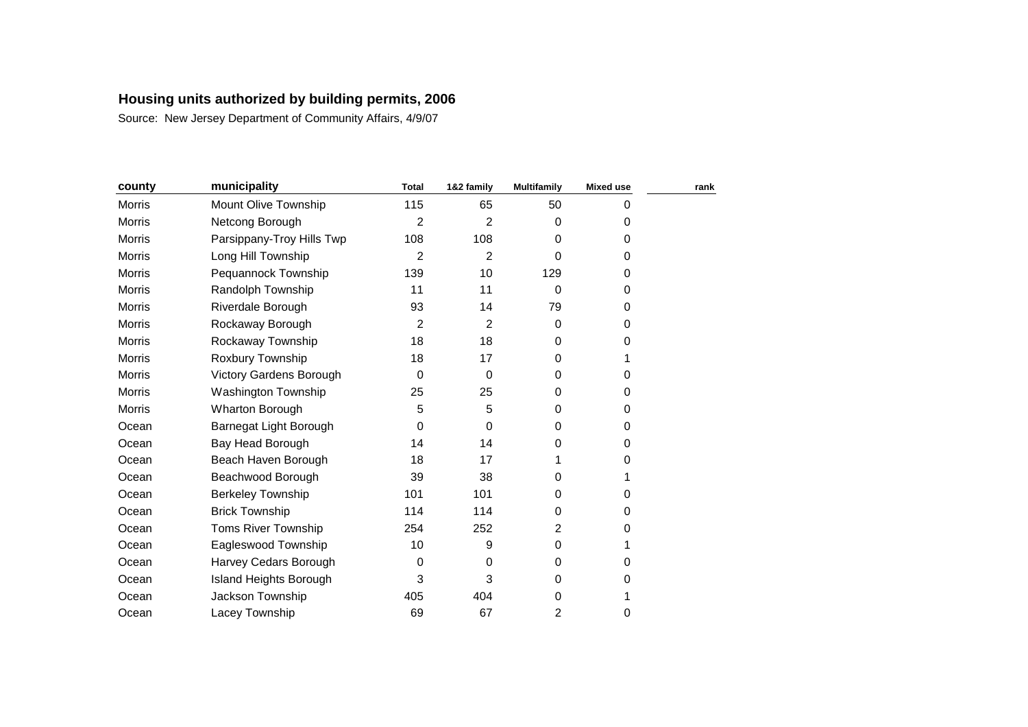| county        | municipality               | <b>Total</b>     | 1&2 family     | <b>Multifamily</b> | <b>Mixed use</b> | rank |
|---------------|----------------------------|------------------|----------------|--------------------|------------------|------|
| Morris        | Mount Olive Township       | 115              | 65             | 50                 | 0                |      |
| <b>Morris</b> | Netcong Borough            | $\overline{2}$   | $\overline{2}$ | $\Omega$           | 0                |      |
| Morris        | Parsippany-Troy Hills Twp  | 108              | 108            | 0                  | 0                |      |
| <b>Morris</b> | Long Hill Township         | $\overline{2}$   | 2              | 0                  | 0                |      |
| Morris        | Pequannock Township        | 139              | 10             | 129                | 0                |      |
| Morris        | Randolph Township          | 11               | 11             | $\Omega$           | 0                |      |
| Morris        | Riverdale Borough          | 93               | 14             | 79                 | 0                |      |
| Morris        | Rockaway Borough           | $\overline{2}$   | 2              | $\Omega$           | 0                |      |
| <b>Morris</b> | Rockaway Township          | 18               | 18             | 0                  | 0                |      |
| <b>Morris</b> | Roxbury Township           | 18               | 17             | $\Omega$           |                  |      |
| Morris        | Victory Gardens Borough    | $\boldsymbol{0}$ | $\Omega$       | $\Omega$           | 0                |      |
| Morris        | Washington Township        | 25               | 25             | 0                  | 0                |      |
| Morris        | <b>Wharton Borough</b>     | 5                | 5              | $\Omega$           | 0                |      |
| Ocean         | Barnegat Light Borough     | 0                | 0              | $\Omega$           | 0                |      |
| Ocean         | Bay Head Borough           | 14               | 14             | 0                  | 0                |      |
| Ocean         | Beach Haven Borough        | 18               | 17             |                    | 0                |      |
| Ocean         | Beachwood Borough          | 39               | 38             | 0                  | 1                |      |
| Ocean         | <b>Berkeley Township</b>   | 101              | 101            | 0                  | 0                |      |
| Ocean         | <b>Brick Township</b>      | 114              | 114            | $\Omega$           | 0                |      |
| Ocean         | <b>Toms River Township</b> | 254              | 252            | 2                  | 0                |      |
| Ocean         | Eagleswood Township        | 10               | 9              | 0                  |                  |      |
| Ocean         | Harvey Cedars Borough      | 0                | $\Omega$       | 0                  | 0                |      |
| Ocean         | Island Heights Borough     | 3                | 3              | 0                  | 0                |      |
| Ocean         | Jackson Township           | 405              | 404            | 0                  |                  |      |
| Ocean         | Lacey Township             | 69               | 67             | $\overline{2}$     | 0                |      |
|               |                            |                  |                |                    |                  |      |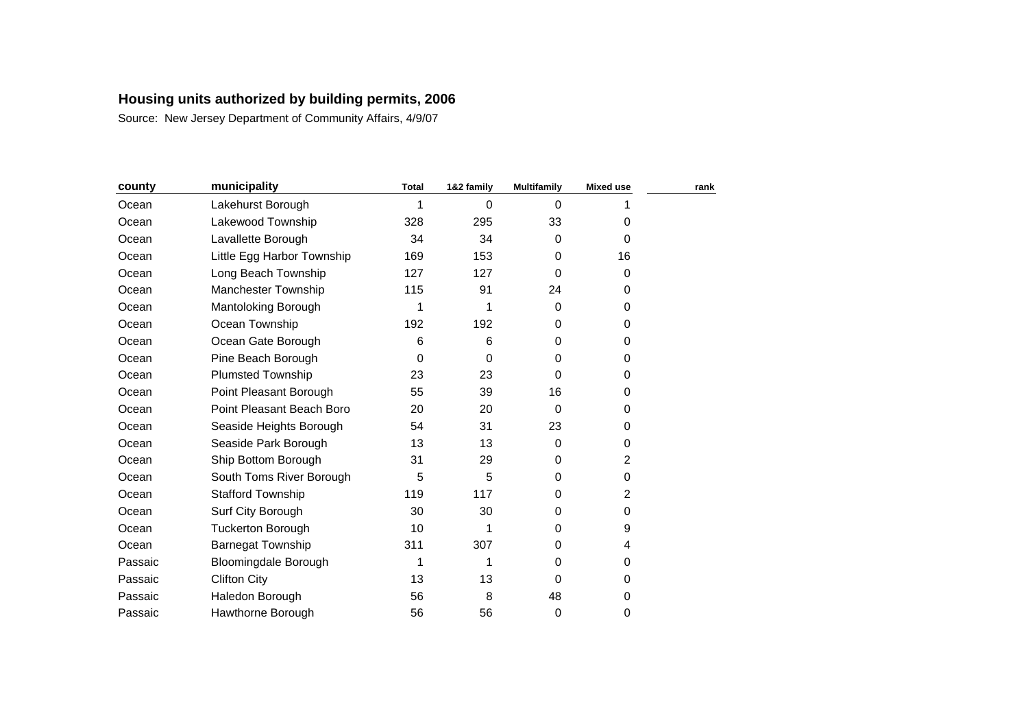| county  | municipality                | <b>Total</b> | 1&2 family | <b>Multifamily</b> | <b>Mixed use</b>        | rank |
|---------|-----------------------------|--------------|------------|--------------------|-------------------------|------|
| Ocean   | Lakehurst Borough           | 1            | $\Omega$   | $\Omega$           |                         |      |
| Ocean   | Lakewood Township           | 328          | 295        | 33                 | 0                       |      |
| Ocean   | Lavallette Borough          | 34           | 34         | $\mathbf 0$        | 0                       |      |
| Ocean   | Little Egg Harbor Township  | 169          | 153        | 0                  | 16                      |      |
| Ocean   | Long Beach Township         | 127          | 127        | 0                  | 0                       |      |
| Ocean   | <b>Manchester Township</b>  | 115          | 91         | 24                 | 0                       |      |
| Ocean   | Mantoloking Borough         | 1            |            | $\Omega$           | 0                       |      |
| Ocean   | Ocean Township              | 192          | 192        | 0                  | 0                       |      |
| Ocean   | Ocean Gate Borough          | 6            | 6          | 0                  | 0                       |      |
| Ocean   | Pine Beach Borough          | $\mathbf 0$  | 0          | 0                  | 0                       |      |
| Ocean   | <b>Plumsted Township</b>    | 23           | 23         | $\Omega$           | 0                       |      |
| Ocean   | Point Pleasant Borough      | 55           | 39         | 16                 | 0                       |      |
| Ocean   | Point Pleasant Beach Boro   | 20           | 20         | $\Omega$           | 0                       |      |
| Ocean   | Seaside Heights Borough     | 54           | 31         | 23                 | 0                       |      |
| Ocean   | Seaside Park Borough        | 13           | 13         | $\Omega$           | 0                       |      |
| Ocean   | Ship Bottom Borough         | 31           | 29         | 0                  | $\overline{\mathbf{c}}$ |      |
| Ocean   | South Toms River Borough    | 5            | 5          | $\Omega$           | 0                       |      |
| Ocean   | <b>Stafford Township</b>    | 119          | 117        | $\Omega$           | $\overline{c}$          |      |
| Ocean   | Surf City Borough           | 30           | 30         | 0                  | 0                       |      |
| Ocean   | <b>Tuckerton Borough</b>    | 10           | 1          | $\Omega$           | 9                       |      |
| Ocean   | <b>Barnegat Township</b>    | 311          | 307        | 0                  | 4                       |      |
| Passaic | <b>Bloomingdale Borough</b> | 1            | 1          | $\Omega$           | 0                       |      |
| Passaic | <b>Clifton City</b>         | 13           | 13         | 0                  | 0                       |      |
| Passaic | Haledon Borough             | 56           | 8          | 48                 | 0                       |      |
| Passaic | Hawthorne Borough           | 56           | 56         | 0                  | 0                       |      |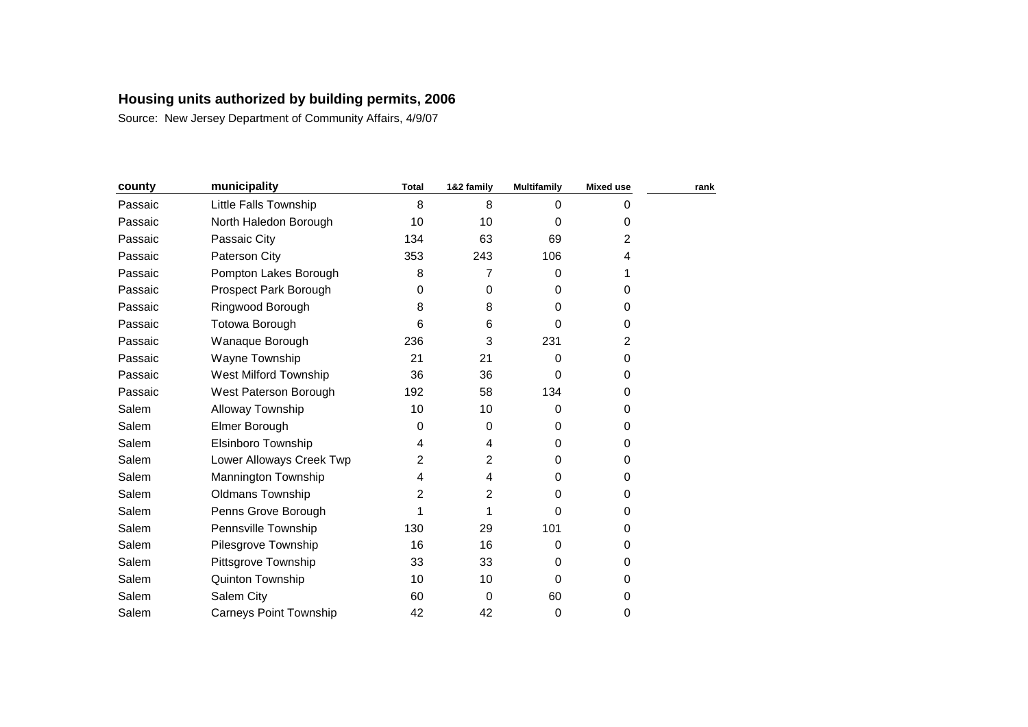| county  | municipality                  | <b>Total</b> | 1&2 family | <b>Multifamily</b> | <b>Mixed use</b> | rank |
|---------|-------------------------------|--------------|------------|--------------------|------------------|------|
| Passaic | Little Falls Township         | 8            | 8          | $\Omega$           | 0                |      |
| Passaic | North Haledon Borough         | 10           | 10         | 0                  | 0                |      |
| Passaic | Passaic City                  | 134          | 63         | 69                 | 2                |      |
| Passaic | Paterson City                 | 353          | 243        | 106                | 4                |      |
| Passaic | Pompton Lakes Borough         | 8            | 7          | $\Omega$           |                  |      |
| Passaic | Prospect Park Borough         | $\mathbf 0$  | 0          | 0                  | 0                |      |
| Passaic | Ringwood Borough              | 8            | 8          | $\Omega$           | 0                |      |
| Passaic | Totowa Borough                | 6            | 6          | 0                  | 0                |      |
| Passaic | Wanaque Borough               | 236          | 3          | 231                | $\overline{2}$   |      |
| Passaic | Wayne Township                | 21           | 21         | $\Omega$           | 0                |      |
| Passaic | West Milford Township         | 36           | 36         | $\Omega$           | 0                |      |
| Passaic | West Paterson Borough         | 192          | 58         | 134                | 0                |      |
| Salem   | Alloway Township              | 10           | 10         | $\Omega$           | 0                |      |
| Salem   | Elmer Borough                 | 0            | 0          | $\Omega$           | 0                |      |
| Salem   | Elsinboro Township            | 4            | 4          | $\Omega$           | 0                |      |
| Salem   | Lower Alloways Creek Twp      | 2            | 2          | $\Omega$           | 0                |      |
| Salem   | Mannington Township           | 4            | 4          | $\Omega$           | 0                |      |
| Salem   | <b>Oldmans Township</b>       | 2            | 2          | $\Omega$           | 0                |      |
| Salem   | Penns Grove Borough           | 1            |            | 0                  | 0                |      |
| Salem   | Pennsville Township           | 130          | 29         | 101                | 0                |      |
| Salem   | Pilesgrove Township           | 16           | 16         | $\Omega$           | 0                |      |
| Salem   | Pittsgrove Township           | 33           | 33         | $\Omega$           | 0                |      |
| Salem   | <b>Quinton Township</b>       | 10           | 10         | $\Omega$           | 0                |      |
| Salem   | Salem City                    | 60           | $\Omega$   | 60                 | 0                |      |
| Salem   | <b>Carneys Point Township</b> | 42           | 42         | 0                  | 0                |      |
|         |                               |              |            |                    |                  |      |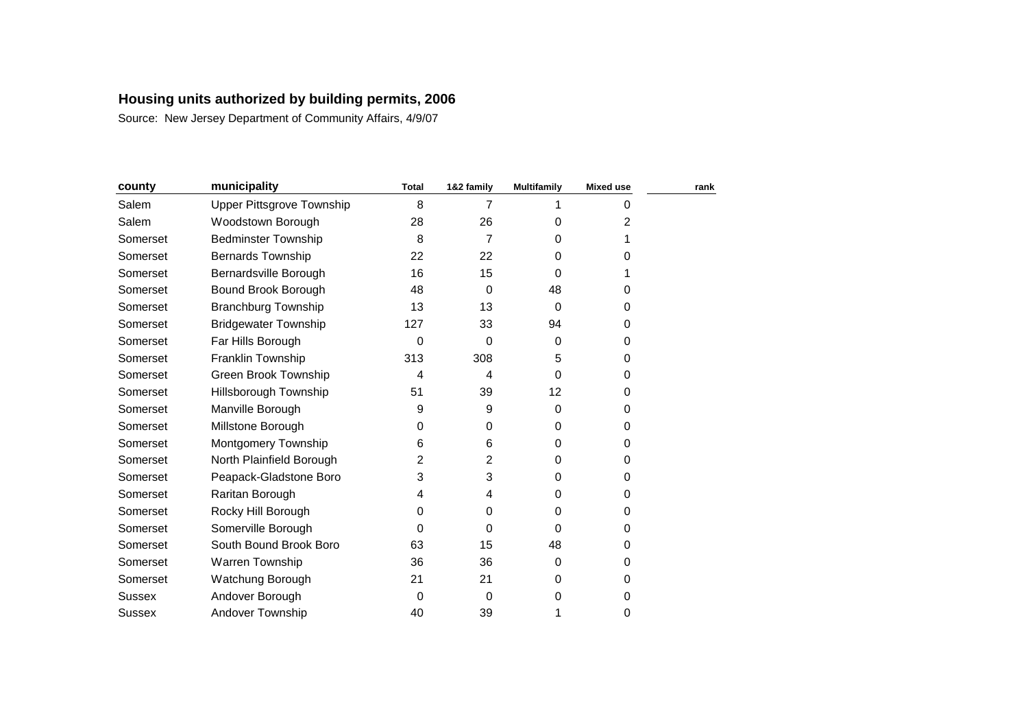| county   | municipality                | <b>Total</b> | 1&2 family | <b>Multifamily</b> | <b>Mixed use</b> | rank |
|----------|-----------------------------|--------------|------------|--------------------|------------------|------|
| Salem    | Upper Pittsgrove Township   | 8            |            |                    | 0                |      |
| Salem    | Woodstown Borough           | 28           | 26         | 0                  | 2                |      |
| Somerset | <b>Bedminster Township</b>  | 8            | 7          | 0                  |                  |      |
| Somerset | <b>Bernards Township</b>    | 22           | 22         | 0                  | 0                |      |
| Somerset | Bernardsville Borough       | 16           | 15         | $\Omega$           |                  |      |
| Somerset | Bound Brook Borough         | 48           | 0          | 48                 | 0                |      |
| Somerset | <b>Branchburg Township</b>  | 13           | 13         | $\Omega$           | 0                |      |
| Somerset | <b>Bridgewater Township</b> | 127          | 33         | 94                 | 0                |      |
| Somerset | Far Hills Borough           | 0            | $\Omega$   | $\Omega$           | 0                |      |
| Somerset | Franklin Township           | 313          | 308        | 5                  | 0                |      |
| Somerset | Green Brook Township        | 4            | 4          | $\Omega$           | 0                |      |
| Somerset | Hillsborough Township       | 51           | 39         | 12                 | 0                |      |
| Somerset | Manville Borough            | 9            | 9          | $\Omega$           | 0                |      |
| Somerset | Millstone Borough           | 0            | 0          | $\Omega$           | 0                |      |
| Somerset | Montgomery Township         | 6            | 6          | 0                  | 0                |      |
| Somerset | North Plainfield Borough    | 2            | 2          | 0                  | 0                |      |
| Somerset | Peapack-Gladstone Boro      | 3            | 3          | $\Omega$           | 0                |      |
| Somerset | Raritan Borough             | 4            | 4          | $\Omega$           | 0                |      |
| Somerset | Rocky Hill Borough          | 0            | 0          | 0                  | 0                |      |
| Somerset | Somerville Borough          | 0            | $\Omega$   | $\Omega$           | 0                |      |
| Somerset | South Bound Brook Boro      | 63           | 15         | 48                 | 0                |      |
| Somerset | Warren Township             | 36           | 36         | $\Omega$           | 0                |      |
| Somerset | Watchung Borough            | 21           | 21         | 0                  | 0                |      |
| Sussex   | Andover Borough             | 0            | 0          | 0                  | 0                |      |
| Sussex   | Andover Township            | 40           | 39         | 1                  | 0                |      |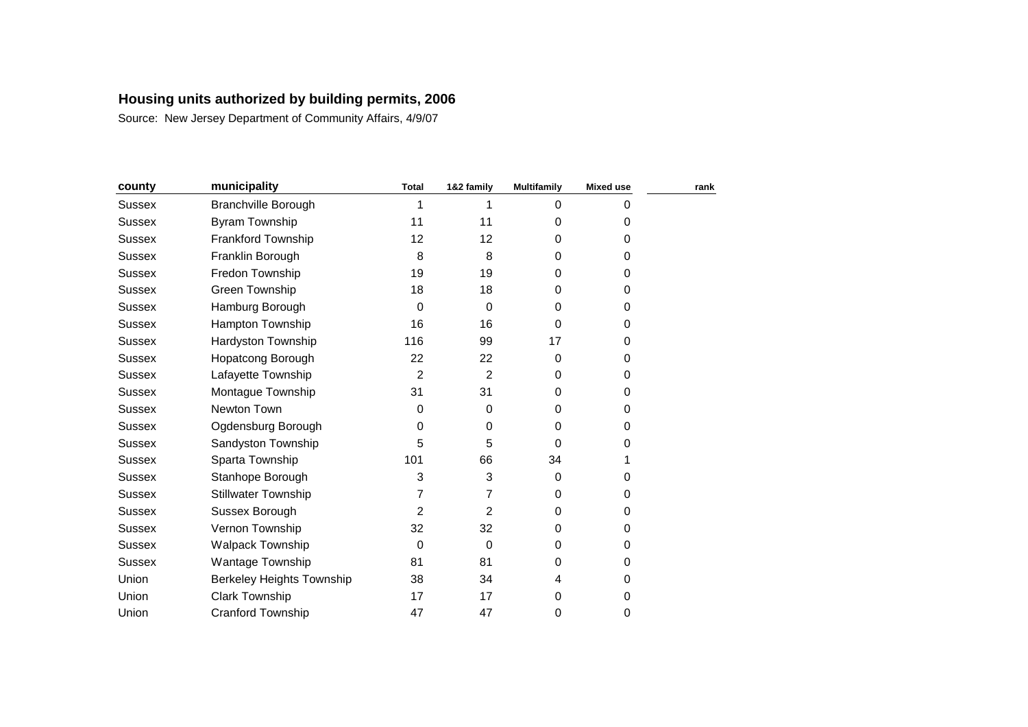| county        | municipality                     | <b>Total</b>   | 1&2 family     | <b>Multifamily</b> | <b>Mixed use</b> | rank |
|---------------|----------------------------------|----------------|----------------|--------------------|------------------|------|
| <b>Sussex</b> | <b>Branchville Borough</b>       | 1              |                | $\Omega$           | 0                |      |
| <b>Sussex</b> | Byram Township                   | 11             | 11             | $\Omega$           | 0                |      |
| <b>Sussex</b> | Frankford Township               | 12             | 12             | 0                  | 0                |      |
| Sussex        | Franklin Borough                 | 8              | 8              | 0                  | 0                |      |
| <b>Sussex</b> | Fredon Township                  | 19             | 19             | 0                  | 0                |      |
| <b>Sussex</b> | Green Township                   | 18             | 18             | $\Omega$           | 0                |      |
| Sussex        | Hamburg Borough                  | 0              | $\Omega$       | 0                  | 0                |      |
| <b>Sussex</b> | <b>Hampton Township</b>          | 16             | 16             | $\Omega$           | 0                |      |
| <b>Sussex</b> | <b>Hardyston Township</b>        | 116            | 99             | 17                 | 0                |      |
| Sussex        | <b>Hopatcong Borough</b>         | 22             | 22             | $\Omega$           | 0                |      |
| <b>Sussex</b> | Lafayette Township               | $\overline{2}$ | $\overline{2}$ | $\Omega$           | 0                |      |
| Sussex        | Montague Township                | 31             | 31             | 0                  | 0                |      |
| <b>Sussex</b> | Newton Town                      | 0              | $\Omega$       | $\Omega$           | 0                |      |
| <b>Sussex</b> | Ogdensburg Borough               | 0              | 0              | 0                  | 0                |      |
| <b>Sussex</b> | Sandyston Township               | 5              | 5              | $\Omega$           | 0                |      |
| <b>Sussex</b> | Sparta Township                  | 101            | 66             | 34                 |                  |      |
| <b>Sussex</b> | Stanhope Borough                 | 3              | 3              | $\Omega$           | 0                |      |
| <b>Sussex</b> | <b>Stillwater Township</b>       | 7              | 7              | $\Omega$           | 0                |      |
| Sussex        | Sussex Borough                   | 2              | 2              | 0                  | 0                |      |
| Sussex        | Vernon Township                  | 32             | 32             | 0                  | 0                |      |
| <b>Sussex</b> | Walpack Township                 | 0              | 0              | 0                  | 0                |      |
| Sussex        | Wantage Township                 | 81             | 81             | $\Omega$           | 0                |      |
| Union         | <b>Berkeley Heights Township</b> | 38             | 34             | 4                  | 0                |      |
| Union         | <b>Clark Township</b>            | 17             | 17             | 0                  | 0                |      |
| Union         | <b>Cranford Township</b>         | 47             | 47             | 0                  | 0                |      |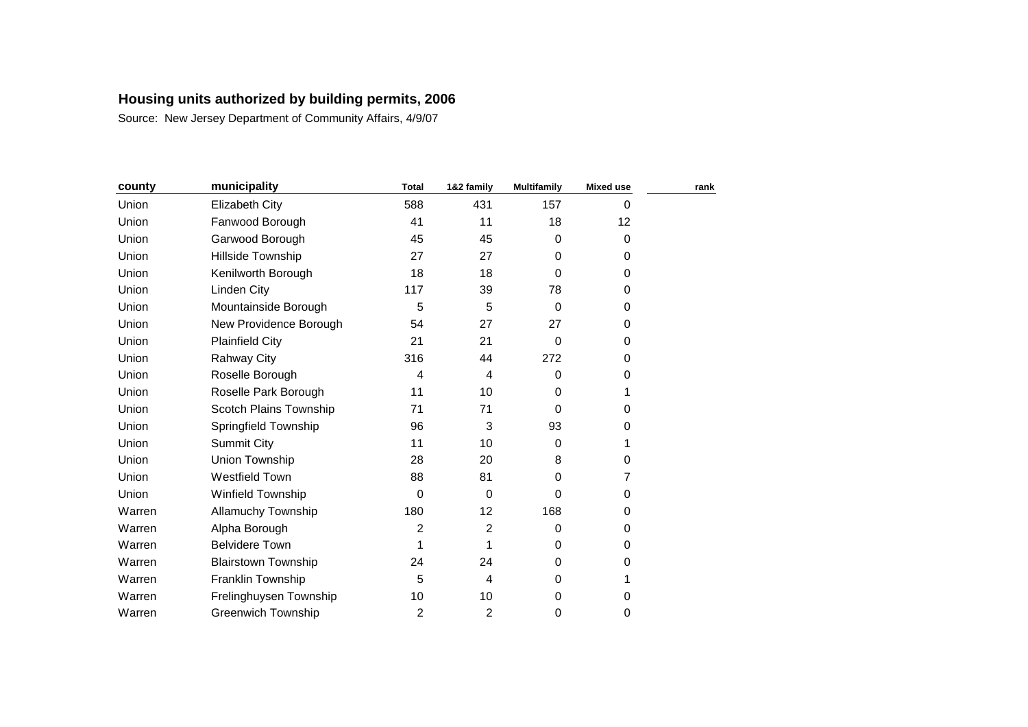| county | municipality               | <b>Total</b>   | 1&2 family     | <b>Multifamily</b> | <b>Mixed use</b> | rank |
|--------|----------------------------|----------------|----------------|--------------------|------------------|------|
| Union  | Elizabeth City             | 588            | 431            | 157                | 0                |      |
| Union  | Fanwood Borough            | 41             | 11             | 18                 | 12               |      |
| Union  | Garwood Borough            | 45             | 45             | $\Omega$           | 0                |      |
| Union  | Hillside Township          | 27             | 27             | $\Omega$           | 0                |      |
| Union  | Kenilworth Borough         | 18             | 18             | $\Omega$           | 0                |      |
| Union  | Linden City                | 117            | 39             | 78                 | 0                |      |
| Union  | Mountainside Borough       | 5              | 5              | $\Omega$           | 0                |      |
| Union  | New Providence Borough     | 54             | 27             | 27                 | 0                |      |
| Union  | <b>Plainfield City</b>     | 21             | 21             | $\Omega$           | 0                |      |
| Union  | <b>Rahway City</b>         | 316            | 44             | 272                | 0                |      |
| Union  | Roselle Borough            | 4              | $\overline{4}$ | 0                  | 0                |      |
| Union  | Roselle Park Borough       | 11             | 10             | $\Omega$           | 1                |      |
| Union  | Scotch Plains Township     | 71             | 71             | $\Omega$           | 0                |      |
| Union  | Springfield Township       | 96             | 3              | 93                 | 0                |      |
| Union  | Summit City                | 11             | 10             | 0                  | 1                |      |
| Union  | Union Township             | 28             | 20             | 8                  | 0                |      |
| Union  | <b>Westfield Town</b>      | 88             | 81             | $\Omega$           | 7                |      |
| Union  | Winfield Township          | 0              | $\Omega$       | $\Omega$           | 0                |      |
| Warren | Allamuchy Township         | 180            | 12             | 168                | 0                |      |
| Warren | Alpha Borough              | 2              | $\overline{2}$ | 0                  | 0                |      |
| Warren | <b>Belvidere Town</b>      | 1              |                | 0                  | 0                |      |
| Warren | <b>Blairstown Township</b> | 24             | 24             | $\Omega$           | 0                |      |
| Warren | Franklin Township          | 5              | 4              | $\Omega$           | 1                |      |
| Warren | Frelinghuysen Township     | 10             | 10             | 0                  | 0                |      |
| Warren | <b>Greenwich Township</b>  | $\overline{c}$ | 2              | 0                  | 0                |      |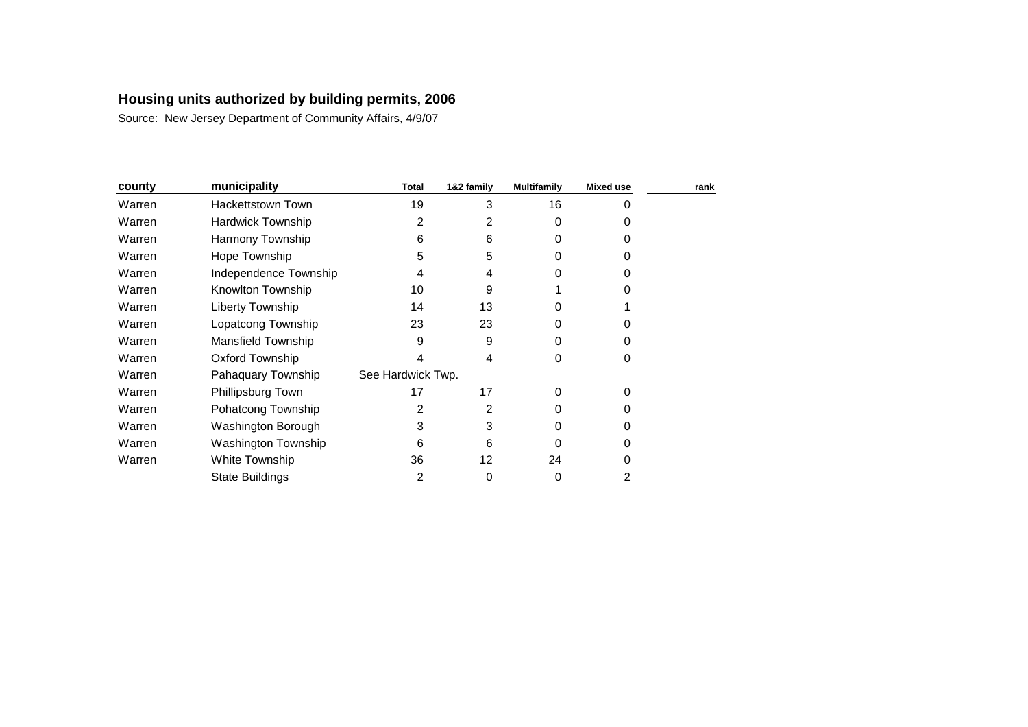| county | municipality             | Total             | 1&2 family | <b>Multifamily</b> | <b>Mixed use</b> | rank |
|--------|--------------------------|-------------------|------------|--------------------|------------------|------|
| Warren | Hackettstown Town        | 19                | 3          | 16                 | 0                |      |
| Warren | <b>Hardwick Township</b> | 2                 | 2          | 0                  | 0                |      |
| Warren | Harmony Township         | 6                 | 6          | 0                  | 0                |      |
| Warren | Hope Township            | 5                 | 5          | 0                  | 0                |      |
| Warren | Independence Township    | 4                 | 4          | O                  | 0                |      |
| Warren | Knowlton Township        | 10                | 9          |                    |                  |      |
| Warren | Liberty Township         | 14                | 13         | O                  |                  |      |
| Warren | Lopatcong Township       | 23                | 23         | 0                  | O                |      |
| Warren | Mansfield Township       | 9                 | 9          | 0                  | 0                |      |
| Warren | <b>Oxford Township</b>   | 4                 | 4          | 0                  | 0                |      |
| Warren | Pahaquary Township       | See Hardwick Twp. |            |                    |                  |      |
| Warren | Phillipsburg Town        | 17                | 17         | 0                  | 0                |      |
| Warren | Pohatcong Township       | 2                 | 2          | 0                  | 0                |      |
| Warren | Washington Borough       | 3                 | 3          | O                  | 0                |      |
| Warren | Washington Township      | 6                 | 6          | 0                  | 0                |      |
| Warren | White Township           | 36                | 12         | 24                 | 0                |      |
|        | <b>State Buildings</b>   | 2                 | 0          | 0                  | 2                |      |